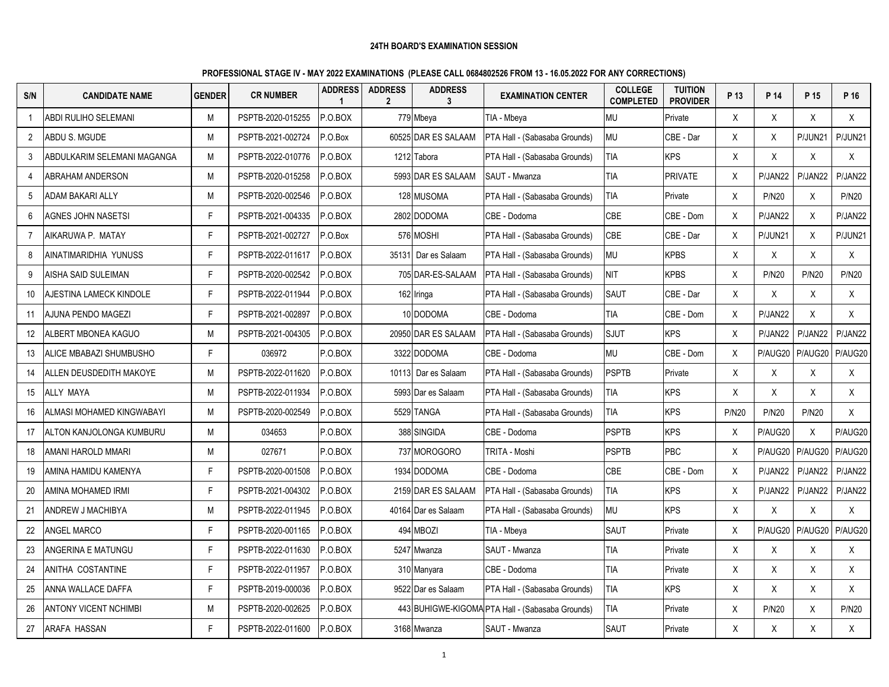| S/N            | <b>CANDIDATE NAME</b>       | <b>GENDER</b> | <b>CR NUMBER</b>  | <b>ADDRESS</b><br>$\overline{1}$ | <b>ADDRESS</b><br>$\overline{2}$ | <b>ADDRESS</b><br>3 | <b>EXAMINATION CENTER</b>                        | <b>COLLEGE</b><br><b>COMPLETED</b> | <b>TUITION</b><br><b>PROVIDER</b> | P 13         | P 14         | P 15         | P 16         |
|----------------|-----------------------------|---------------|-------------------|----------------------------------|----------------------------------|---------------------|--------------------------------------------------|------------------------------------|-----------------------------------|--------------|--------------|--------------|--------------|
|                | <b>ABDI RULIHO SELEMANI</b> | M             | PSPTB-2020-015255 | P.O.BOX                          |                                  | 779 Mbeya           | TIA - Mbeya                                      | <b>MU</b>                          | Private                           | X            | X            | X            | X            |
| $\overline{2}$ | ABDU S. MGUDE               | M             | PSPTB-2021-002724 | P.O.Box                          |                                  | 60525 DAR ES SALAAM | PTA Hall - (Sabasaba Grounds)                    | <b>MU</b>                          | CBE - Dar                         | X            | X            | P/JUN21      | P/JUN21      |
| 3              | ABDULKARIM SELEMANI MAGANGA | М             | PSPTB-2022-010776 | P.O.BOX                          |                                  | 1212 Tabora         | PTA Hall - (Sabasaba Grounds)                    | <b>TIA</b>                         | <b>KPS</b>                        | X            | X            | X            | X            |
| 4              | <b>ABRAHAM ANDERSON</b>     | M             | PSPTB-2020-015258 | P.O.BOX                          |                                  | 5993 DAR ES SALAAM  | SAUT - Mwanza                                    | <b>TIA</b>                         | <b>PRIVATE</b>                    | X            | P/JAN22      | P/JAN22      | P/JAN22      |
| 5              | ADAM BAKARI ALLY            | М             | PSPTB-2020-002546 | P.O.BOX                          |                                  | 128 MUSOMA          | PTA Hall - (Sabasaba Grounds)                    | <b>TIA</b>                         | Private                           | X            | <b>P/N20</b> | X            | <b>P/N20</b> |
| 6              | AGNES JOHN NASETSI          | F.            | PSPTB-2021-004335 | P.O.BOX                          |                                  | 2802 DODOMA         | CBE - Dodoma                                     | CBE                                | CBE - Dom                         | X            | P/JAN22      | $\sf X$      | P/JAN22      |
| $\overline{7}$ | AIKARUWA P. MATAY           | F.            | PSPTB-2021-002727 | P.O.Box                          |                                  | 576 MOSHI           | PTA Hall - (Sabasaba Grounds)                    | <b>CBE</b>                         | CBE - Dar                         | X            | P/JUN21      | X            | P/JUN21      |
| 8              | AINATIMARIDHIA YUNUSS       | F.            | PSPTB-2022-011617 | P.O.BOX                          |                                  | 35131 Dar es Salaam | PTA Hall - (Sabasaba Grounds)                    | <b>MU</b>                          | <b>KPBS</b>                       | X            | Χ            | X            | X            |
| 9              | AISHA SAID SULEIMAN         | F.            | PSPTB-2020-002542 | P.O.BOX                          |                                  | 705 DAR-ES-SALAAM   | PTA Hall - (Sabasaba Grounds)                    | <b>NIT</b>                         | <b>KPBS</b>                       | X            | <b>P/N20</b> | <b>P/N20</b> | <b>P/N20</b> |
| 10             | AJESTINA LAMECK KINDOLE     | F.            | PSPTB-2022-011944 | P.O.BOX                          |                                  | 162 Iringa          | PTA Hall - (Sabasaba Grounds)                    | <b>SAUT</b>                        | CBE - Dar                         | X            | X            | X            | X            |
| 11             | AJUNA PENDO MAGEZI          | F.            | PSPTB-2021-002897 | P.O.BOX                          |                                  | 10 DODOMA           | CBE - Dodoma                                     | <b>TIA</b>                         | CBE - Dom                         | X            | P/JAN22      | X            | X            |
| 12             | ALBERT MBONEA KAGUO         | M             | PSPTB-2021-004305 | P.O.BOX                          |                                  | 20950 DAR ES SALAAM | PTA Hall - (Sabasaba Grounds)                    | <b>SJUT</b>                        | <b>KPS</b>                        | X            | P/JAN22      | P/JAN22      | P/JAN22      |
| 13             | ALICE MBABAZI SHUMBUSHO     | F.            | 036972            | P.O.BOX                          |                                  | 3322 DODOMA         | CBE - Dodoma                                     | <b>MU</b>                          | CBE - Dom                         | X            | P/AUG20      | P/AUG20      | P/AUG20      |
| 14             | ALLEN DEUSDEDITH MAKOYE     | М             | PSPTB-2022-011620 | P.O.BOX                          |                                  | 10113 Dar es Salaam | PTA Hall - (Sabasaba Grounds)                    | <b>PSPTB</b>                       | Private                           | X            | X            | X            | X            |
| 15             | ALLY MAYA                   | М             | PSPTB-2022-011934 | P.O.BOX                          |                                  | 5993 Dar es Salaam  | PTA Hall - (Sabasaba Grounds)                    | <b>TIA</b>                         | <b>KPS</b>                        | X            | X            | X            | X            |
| 16             | ALMASI MOHAMED KINGWABAYI   | M             | PSPTB-2020-002549 | P.O.BOX                          |                                  | 5529 TANGA          | PTA Hall - (Sabasaba Grounds)                    | <b>TIA</b>                         | <b>KPS</b>                        | <b>P/N20</b> | <b>P/N20</b> | <b>P/N20</b> | X            |
| 17             | ALTON KANJOLONGA KUMBURU    | М             | 034653            | P.O.BOX                          |                                  | 388 SINGIDA         | CBE - Dodoma                                     | <b>PSPTB</b>                       | <b>KPS</b>                        | X            | P/AUG20      | X            | P/AUG20      |
| 18             | AMANI HAROLD MMARI          | М             | 027671            | P.O.BOX                          |                                  | 737 MOROGORO        | TRITA - Moshi                                    | <b>PSPTB</b>                       | PBC                               | X            | P/AUG20      | P/AUG20      | P/AUG20      |
| 19             | AMINA HAMIDU KAMENYA        | Е             | PSPTB-2020-001508 | P.O.BOX                          |                                  | 1934 DODOMA         | CBE - Dodoma                                     | <b>CBE</b>                         | CBE - Dom                         | X            | P/JAN22      | P/JAN22      | P/JAN22      |
| 20             | AMINA MOHAMED IRMI          | F.            | PSPTB-2021-004302 | P.O.BOX                          |                                  | 2159 DAR ES SALAAM  | PTA Hall - (Sabasaba Grounds)                    | <b>TIA</b>                         | <b>KPS</b>                        | X            | P/JAN22      | P/JAN22      | P/JAN22      |
| 21             | ANDREW J MACHIBYA           | M             | PSPTB-2022-011945 | P.O.BOX                          |                                  | 40164 Dar es Salaam | PTA Hall - (Sabasaba Grounds)                    | <b>MU</b>                          | <b>KPS</b>                        | X            | X            | X            | X            |
| 22             | <b>ANGEL MARCO</b>          | F.            | PSPTB-2020-001165 | P.O.BOX                          |                                  | 494 MBOZI           | TIA - Mbeya                                      | <b>SAUT</b>                        | Private                           | X            | P/AUG20      | P/AUG20      | P/AUG20      |
| 23             | ANGERINA E MATUNGU          | F.            | PSPTB-2022-011630 | P.O.BOX                          |                                  | 5247 Mwanza         | SAUT - Mwanza                                    | <b>TIA</b>                         | Private                           | X            | X            | X            | X            |
| 24             | ANITHA COSTANTINE           | F.            | PSPTB-2022-011957 | P.O.BOX                          |                                  | 310 Manyara         | CBE - Dodoma                                     | <b>TIA</b>                         | Private                           | X            | X            | X            | X            |
| 25             | ANNA WALLACE DAFFA          | F.            | PSPTB-2019-000036 | P.O.BOX                          |                                  | 9522 Dar es Salaam  | PTA Hall - (Sabasaba Grounds)                    | TIA                                | <b>KPS</b>                        | Χ            | X            | X            | X            |
| 26             | ANTONY VICENT NCHIMBI       | М             | PSPTB-2020-002625 | P.O.BOX                          |                                  |                     | 443 BUHIGWE-KIGOMA PTA Hall - (Sabasaba Grounds) | <b>TIA</b>                         | Private                           | X            | <b>P/N20</b> | X            | <b>P/N20</b> |
| 27             | ARAFA HASSAN                | F.            | PSPTB-2022-011600 | P.O.BOX                          |                                  | 3168 Mwanza         | SAUT - Mwanza                                    | <b>SAUT</b>                        | Private                           | X            | Χ            | X            | X            |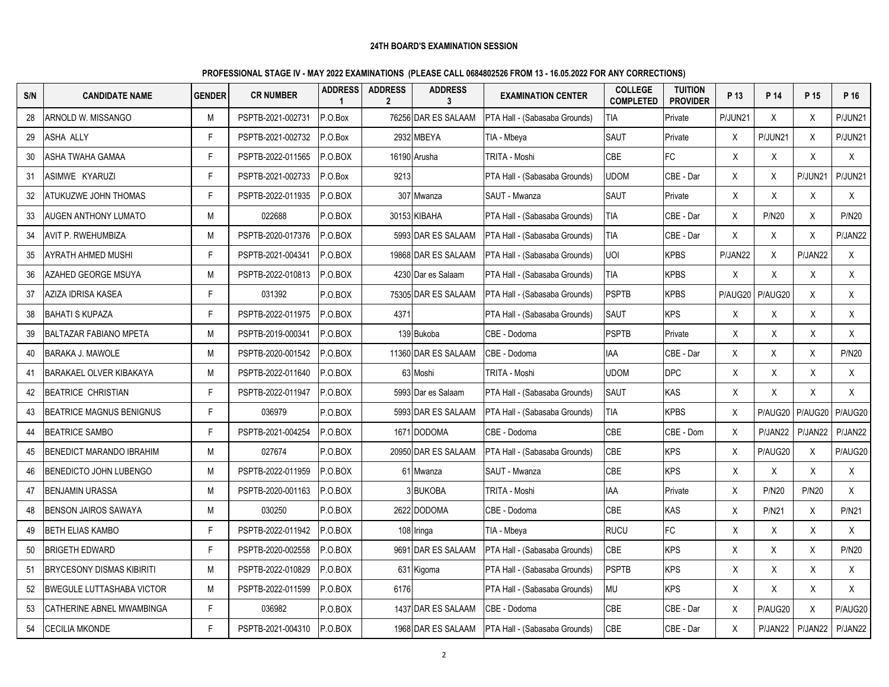| S/N | <b>CANDIDATE NAME</b>            | <b>GENDER</b> | <b>CR NUMBER</b>  | <b>ADDRESS</b><br>$\mathbf 1$ | <b>ADDRESS</b><br>$\mathbf{2}$ | <b>ADDRESS</b><br>3 | <b>EXAMINATION CENTER</b>             | <b>COLLEGE</b><br><b>COMPLETED</b> | <b>TUITION</b><br><b>PROVIDER</b> | P 13    | P 14         | P 15         | P 16         |
|-----|----------------------------------|---------------|-------------------|-------------------------------|--------------------------------|---------------------|---------------------------------------|------------------------------------|-----------------------------------|---------|--------------|--------------|--------------|
| 28  | ARNOLD W. MISSANGO               | M             | PSPTB-2021-002731 | P.O.Box                       |                                | 76256 DAR ES SALAAM | PTA Hall - (Sabasaba Grounds)         | <b>TIA</b>                         | Private                           | P/JUN21 | X            | X            | P/JUN21      |
| 29  | <b>ASHA ALLY</b>                 | F             | PSPTB-2021-002732 | P.O.Box                       |                                | 2932 MBEYA          | TIA - Mbeya                           | SAUT                               | Private                           | X       | P/JUN21      | X            | P/JUN21      |
| 30  | ASHA TWAHA GAMAA                 | F             | PSPTB-2022-011565 | P.O.BOX                       |                                | 16190 Arusha        | TRITA - Moshi                         | CBE                                | FC                                | X       | Χ            | X            | X            |
| 31  | ASIMWE KYARUZI                   | F.            | PSPTB-2021-002733 | P.O.Box                       | 9213                           |                     | PTA Hall - (Sabasaba Grounds)         | <b>UDOM</b>                        | CBE - Dar                         | X.      | X            | P/JUN21      | P/JUN21      |
| 32  | ATUKUZWE JOHN THOMAS             | F.            | PSPTB-2022-011935 | P.O.BOX                       |                                | 307 Mwanza          | SAUT - Mwanza                         | SAUT                               | Private                           | X       | X            | Χ            | X            |
| 33  | <b>AUGEN ANTHONY LUMATO</b>      | М             | 022688            | P.O.BOX                       |                                | 30153 KIBAHA        | PTA Hall - (Sabasaba Grounds)         | <b>TIA</b>                         | CBE - Dar                         | X       | <b>P/N20</b> | X            | <b>P/N20</b> |
| 34  | <b>AVIT P. RWEHUMBIZA</b>        | М             | PSPTB-2020-017376 | P.O.BOX                       |                                | 5993 DAR ES SALAAM  | <b>IPTA Hall - (Sabasaba Grounds)</b> | TIA                                | CBE - Dar                         | X       | $\mathsf{X}$ | X            | P/JAN22      |
| 35  | <b>AYRATH AHMED MUSHI</b>        | F             | PSPTB-2021-004341 | P.O.BOX                       |                                | 19868 DAR ES SALAAM | PTA Hall - (Sabasaba Grounds)         | <b>UOI</b>                         | <b>KPBS</b>                       | P/JAN22 | X            | P/JAN22      | X            |
| 36  | AZAHED GEORGE MSUYA              | М             | PSPTB-2022-010813 | P.O.BOX                       |                                | 4230 Dar es Salaam  | PTA Hall - (Sabasaba Grounds)         | <b>TIA</b>                         | <b>KPBS</b>                       | X       | X            | X            | X            |
| 37  | AZIZA IDRISA KASEA               | F             | 031392            | P.O.BOX                       |                                | 75305 DAR ES SALAAM | PTA Hall - (Sabasaba Grounds)         | <b>PSPTB</b>                       | <b>KPBS</b>                       | P/AUG20 | P/AUG20      | X            | X            |
| 38  | <b>IBAHATI S KUPAZA</b>          | F             | PSPTB-2022-011975 | P.O.BOX                       | 4371                           |                     | PTA Hall - (Sabasaba Grounds)         | <b>SAUT</b>                        | <b>KPS</b>                        | X       | $\sf X$      | X            | X            |
| 39  | <b>BALTAZAR FABIANO MPETA</b>    | M             | PSPTB-2019-000341 | P.O.BOX                       |                                | 139 Bukoba          | CBE - Dodoma                          | <b>PSPTB</b>                       | Private                           | X       | X            | X            | X            |
| 40  | BARAKA J. MAWOLE                 | М             | PSPTB-2020-001542 | P.O.BOX                       |                                | 11360 DAR ES SALAAM | CBE - Dodoma                          | <b>IAA</b>                         | CBE - Dar                         | X       | X            | X            | <b>P/N20</b> |
| 41  | BARAKAEL OLVER KIBAKAYA          | M             | PSPTB-2022-011640 | P.O.BOX                       |                                | 63 Moshi            | TRITA - Moshi                         | <b>UDOM</b>                        | <b>DPC</b>                        | X       | X            | X            | X            |
| 42  | <b>BEATRICE CHRISTIAN</b>        | F.            | PSPTB-2022-011947 | P.O.BOX                       |                                | 5993 Dar es Salaam  | PTA Hall - (Sabasaba Grounds)         | <b>SAUT</b>                        | KAS                               | X       | X            | X            | $\sf X$      |
| 43  | <b>IBEATRICE MAGNUS BENIGNUS</b> | F             | 036979            | P.O.BOX                       |                                | 5993 DAR ES SALAAM  | PTA Hall - (Sabasaba Grounds)         | <b>TIA</b>                         | <b>KPBS</b>                       | X       | P/AUG20      | P/AUG20      | P/AUG20      |
| 44  | <b>BEATRICE SAMBO</b>            | F             | PSPTB-2021-004254 | P.O.BOX                       |                                | 1671 DODOMA         | CBE - Dodoma                          | <b>CBE</b>                         | CBE - Dom                         | X       | P/JAN22      | P/JAN22      | P/JAN22      |
| 45  | <b>BENEDICT MARANDO IBRAHIM</b>  | М             | 027674            | P.O.BOX                       |                                | 20950 DAR ES SALAAM | PTA Hall - (Sabasaba Grounds)         | CBE                                | <b>KPS</b>                        | X       | P/AUG20      | X            | P/AUG20      |
| 46  | BENEDICTO JOHN LUBENGO           | М             | PSPTB-2022-011959 | P.O.BOX                       |                                | 61 Mwanza           | SAUT - Mwanza                         | <b>CBE</b>                         | <b>KPS</b>                        | X       | X            | X            | X            |
| 47  | <b>BENJAMIN URASSA</b>           | M             | PSPTB-2020-001163 | P.O.BOX                       |                                | 3 BUKOBA            | TRITA - Moshi                         | IAA                                | Private                           | X       | <b>P/N20</b> | <b>P/N20</b> | X            |
| 48  | <b>BENSON JAIROS SAWAYA</b>      | М             | 030250            | P.O.BOX                       |                                | 2622 DODOMA         | CBE - Dodoma                          | <b>CBE</b>                         | KAS                               | X       | <b>P/N21</b> | Χ            | <b>P/N21</b> |
| 49  | <b>IBETH ELIAS KAMBO</b>         | F             | PSPTB-2022-011942 | P.O.BOX                       |                                | 108 Iringa          | TIA - Mbeya                           | <b>RUCU</b>                        | <b>FC</b>                         | X       | X            | X            | X            |
| 50  | <b>IBRIGETH EDWARD</b>           | F.            | PSPTB-2020-002558 | P.O.BOX                       |                                | 9691 DAR ES SALAAM  | PTA Hall - (Sabasaba Grounds)         | CBE                                | <b>KPS</b>                        | X       | X            | X            | <b>P/N20</b> |
| 51  | <b>BRYCESONY DISMAS KIBIRITI</b> | М             | PSPTB-2022-010829 | P.O.BOX                       |                                | 631 Kigoma          | PTA Hall - (Sabasaba Grounds)         | <b>PSPTB</b>                       | <b>KPS</b>                        | X       | Χ            | X            | X            |
| 52  | <b>BWEGULE LUTTASHABA VICTOR</b> | М             | PSPTB-2022-011599 | P.O.BOX                       | 6176                           |                     | PTA Hall - (Sabasaba Grounds)         | MU                                 | <b>KPS</b>                        | X       | X            | X            | X            |
| 53  | CATHERINE ABNEL MWAMBINGA        | F.            | 036982            | P.O.BOX                       |                                | 1437 DAR ES SALAAM  | CBE - Dodoma                          | <b>CBE</b>                         | CBE - Dar                         | X       | P/AUG20      | X            | P/AUG20      |
| 54  | <b>CECILIA MKONDE</b>            | F.            | PSPTB-2021-004310 | P.O.BOX                       |                                | 1968 DAR ES SALAAM  | PTA Hall - (Sabasaba Grounds)         | CBE                                | CBE - Dar                         | X       | P/JAN22      | P/JAN22      | P/JAN22      |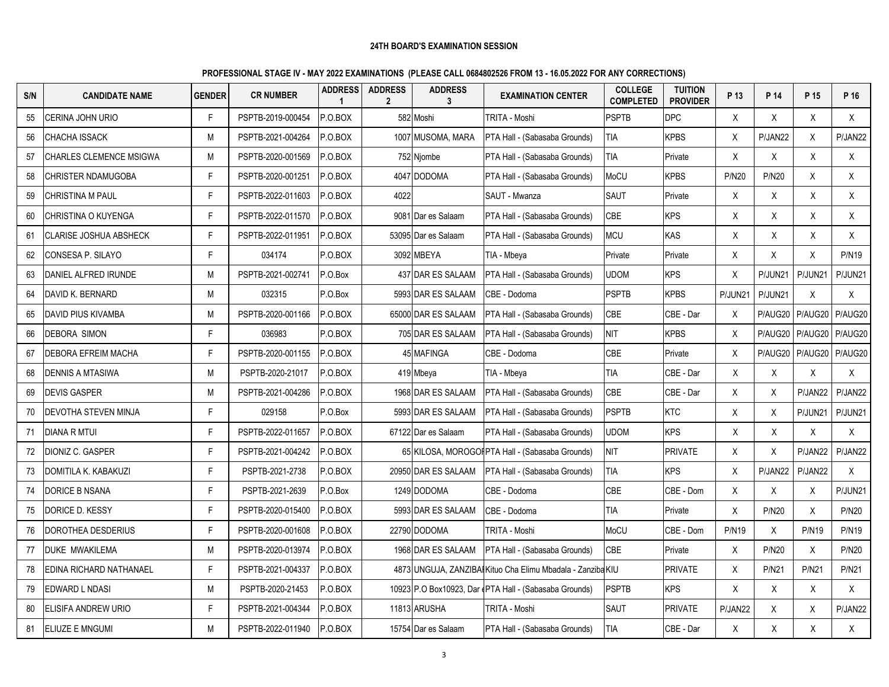| S/N | <b>CANDIDATE NAME</b>         | <b>GENDER</b> | <b>CR NUMBER</b>  | <b>ADDRESS</b><br>$\overline{\mathbf{1}}$ | <b>ADDRESS</b><br>$\mathbf{2}$ | <b>ADDRESS</b><br>3 | <b>EXAMINATION CENTER</b>                                   | <b>COLLEGE</b><br><b>COMPLETED</b> | <b>TUITION</b><br><b>PROVIDER</b> | P 13         | P 14         | P 15         | P 16            |
|-----|-------------------------------|---------------|-------------------|-------------------------------------------|--------------------------------|---------------------|-------------------------------------------------------------|------------------------------------|-----------------------------------|--------------|--------------|--------------|-----------------|
| 55  | CERINA JOHN URIO              | F             | PSPTB-2019-000454 | P.O.BOX                                   |                                | 582 Moshi           | TRITA - Moshi                                               | <b>PSPTB</b>                       | <b>DPC</b>                        | X            | X            | X            | X               |
| 56  | <b>CHACHA ISSACK</b>          | М             | PSPTB-2021-004264 | P.O.BOX                                   |                                | 1007 MUSOMA, MARA   | PTA Hall - (Sabasaba Grounds)                               | TIA                                | <b>KPBS</b>                       | X            | P/JAN22      | X            | P/JAN22         |
| 57  | CHARLES CLEMENCE MSIGWA       | М             | PSPTB-2020-001569 | P.O.BOX                                   |                                | 752 Njombe          | PTA Hall - (Sabasaba Grounds)                               | TIA                                | Private                           | X            | Χ            | X            | X               |
| 58  | CHRISTER NDAMUGOBA            | F.            | PSPTB-2020-001251 | P.O.BOX                                   |                                | 4047 DODOMA         | PTA Hall - (Sabasaba Grounds)                               | MoCU                               | <b>KPBS</b>                       | <b>P/N20</b> | <b>P/N20</b> | X            | X               |
| 59  | <b>CHRISTINA M PAUL</b>       | F.            | PSPTB-2022-011603 | P.O.BOX                                   | 4022                           |                     | SAUT - Mwanza                                               | SAUT                               | Private                           | X            | X            | X            | X               |
| 60  | CHRISTINA O KUYENGA           | F.            | PSPTB-2022-011570 | P.O.BOX                                   | 9081                           | Dar es Salaam       | PTA Hall - (Sabasaba Grounds)                               | <b>CBE</b>                         | <b>KPS</b>                        | X            | X            | X            | X               |
| 61  | <b>CLARISE JOSHUA ABSHECK</b> | F             | PSPTB-2022-011951 | P.O.BOX                                   |                                | 53095 Dar es Salaam | PTA Hall - (Sabasaba Grounds)                               | <b>MCU</b>                         | <b>KAS</b>                        | X            | X            | X            | X               |
| 62  | CONSESA P. SILAYO             | F.            | 034174            | P.O.BOX                                   |                                | 3092 MBEYA          | TIA - Mbeya                                                 | Private                            | Private                           | X            | X            | X            | <b>P/N19</b>    |
| 63  | DANIEL ALFRED IRUNDE          | М             | PSPTB-2021-002741 | P.O.Box                                   |                                | 437 DAR ES SALAAM   | PTA Hall - (Sabasaba Grounds)                               | <b>UDOM</b>                        | <b>KPS</b>                        | X            | P/JUN21      | P/JUN21      | P/JUN21         |
| 64  | DAVID K. BERNARD              | М             | 032315            | P.O.Box                                   |                                | 5993 DAR ES SALAAM  | CBE - Dodoma                                                | <b>PSPTB</b>                       | <b>KPBS</b>                       | P/JUN21      | P/JUN21      | X            | X               |
| 65  | DAVID PIUS KIVAMBA            | M             | PSPTB-2020-001166 | P.O.BOX                                   |                                | 65000 DAR ES SALAAM | PTA Hall - (Sabasaba Grounds)                               | CBE                                | CBE - Dar                         | X            | P/AUG20      |              | P/AUG20 P/AUG20 |
| 66  | <b>DEBORA SIMON</b>           | F.            | 036983            | P.O.BOX                                   |                                | 705 DAR ES SALAAM   | PTA Hall - (Sabasaba Grounds)                               | <b>NIT</b>                         | <b>KPBS</b>                       | X            | P/AUG20      |              | P/AUG20 P/AUG20 |
| 67  | DEBORA EFREIM MACHA           | F.            | PSPTB-2020-001155 | P.O.BOX                                   |                                | 45 MAFINGA          | CBE - Dodoma                                                | CBE                                | Private                           | X            | P/AUG20      |              | P/AUG20 P/AUG20 |
| 68  | DENNIS A MTASIWA              | М             | PSPTB-2020-21017  | P.O.BOX                                   |                                | 419 Mbeva           | TIA - Mbeya                                                 | <b>TIA</b>                         | CBE - Dar                         | X            | Χ            | X            | X               |
| 69  | <b>DEVIS GASPER</b>           | М             | PSPTB-2021-004286 | P.O.BOX                                   |                                | 1968 DAR ES SALAAM  | PTA Hall - (Sabasaba Grounds)                               | <b>CBE</b>                         | CBE - Dar                         | X            | X            | P/JAN22      | P/JAN22         |
| 70  | DEVOTHA STEVEN MINJA          | F.            | 029158            | P.O.Box                                   |                                | 5993 DAR ES SALAAM  | PTA Hall - (Sabasaba Grounds)                               | <b>PSPTB</b>                       | <b>KTC</b>                        | X            | X            | P/JUN21      | P/JUN21         |
| 71  | <b>DIANA R MTUI</b>           | F             | PSPTB-2022-011657 | P.O.BOX                                   |                                | 67122 Dar es Salaam | PTA Hall - (Sabasaba Grounds)                               | <b>UDOM</b>                        | <b>KPS</b>                        | X            | X            | $\sf X$      | X               |
| 72  | <b>DIONIZ C. GASPER</b>       | F.            | PSPTB-2021-004242 | P.O.BOX                                   |                                |                     | 65 KILOSA, MOROGOI PTA Hall - (Sabasaba Grounds)            | <b>NIT</b>                         | <b>PRIVATE</b>                    | X            | X            | P/JAN22      | P/JAN22         |
| 73  | DOMITILA K. KABAKUZI          | F.            | PSPTB-2021-2738   | P.O.BOX                                   |                                | 20950 DAR ES SALAAM | PTA Hall - (Sabasaba Grounds)                               | <b>TIA</b>                         | <b>KPS</b>                        | X            | P/JAN22      | P/JAN22      | X               |
| 74  | <b>DORICE B NSANA</b>         | F.            | PSPTB-2021-2639   | P.O.Box                                   |                                | 1249 DODOMA         | CBE - Dodoma                                                | <b>CBE</b>                         | CBE - Dom                         | X            | X            | Χ            | P/JUN21         |
| 75  | DORICE D. KESSY               | F.            | PSPTB-2020-015400 | P.O.BOX                                   |                                | 5993 DAR ES SALAAM  | CBE - Dodoma                                                | <b>TIA</b>                         | Private                           | X            | <b>P/N20</b> | X            | <b>P/N20</b>    |
| 76  | DOROTHEA DESDERIUS            | F.            | PSPTB-2020-001608 | P.O.BOX                                   |                                | 22790 DODOMA        | TRITA - Moshi                                               | MoCU                               | CBE - Dom                         | <b>P/N19</b> | X            | <b>P/N19</b> | <b>P/N19</b>    |
| 77  | DUKE MWAKILEMA                | М             | PSPTB-2020-013974 | P.O.BOX                                   |                                | 1968 DAR ES SALAAM  | PTA Hall - (Sabasaba Grounds)                               | <b>CBE</b>                         | Private                           | X            | <b>P/N20</b> | X            | <b>P/N20</b>    |
| 78  | EDINA RICHARD NATHANAEL       | F.            | PSPTB-2021-004337 | P.O.BOX                                   |                                |                     | 4873 UNGUJA, ZANZIBAI Kituo Cha Elimu Mbadala - Zanziba KIU |                                    | <b>PRIVATE</b>                    | X            | <b>P/N21</b> | <b>P/N21</b> | <b>P/N21</b>    |
| 79  | EDWARD L NDASI                | М             | PSPTB-2020-21453  | P.O.BOX                                   |                                |                     | 10923 P.O Box10923, Dar (PTA Hall - (Sabasaba Grounds)      | <b>PSPTB</b>                       | <b>KPS</b>                        | X            | Χ            | X            | X               |
| 80  | ELISIFA ANDREW URIO           | F.            | PSPTB-2021-004344 | P.O.BOX                                   |                                | 11813 ARUSHA        | TRITA - Moshi                                               | SAUT                               | <b>PRIVATE</b>                    | P/JAN22      | X            | Χ            | P/JAN22         |
| 81  | <b>ELIUZE E MNGUMI</b>        | М             | PSPTB-2022-011940 | P.O.BOX                                   |                                | 15754 Dar es Salaam | PTA Hall - (Sabasaba Grounds)                               | <b>TIA</b>                         | CBE - Dar                         | X            | X            | X            | X               |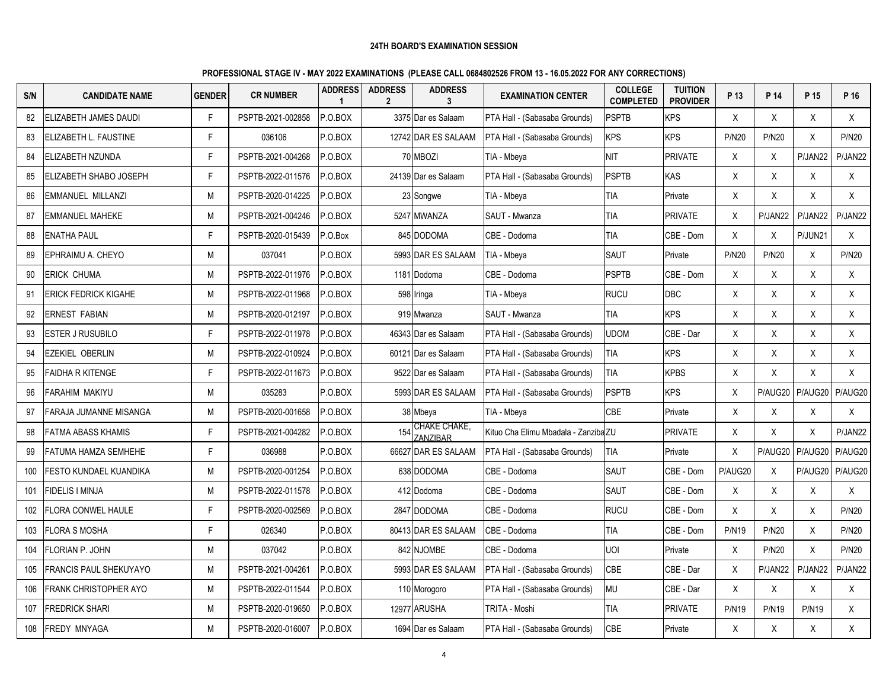| S/N | <b>CANDIDATE NAME</b>          | <b>GENDER</b> | <b>CR NUMBER</b>  | <b>ADDRESS</b><br>$\blacktriangleleft$ | <b>ADDRESS</b><br>$\mathbf{2}$ | <b>ADDRESS</b><br>3      | <b>EXAMINATION CENTER</b>            | <b>COLLEGE</b><br><b>COMPLETED</b> | <b>TUITION</b><br><b>PROVIDER</b> | P 13         | P 14         | P 15         | P 16         |
|-----|--------------------------------|---------------|-------------------|----------------------------------------|--------------------------------|--------------------------|--------------------------------------|------------------------------------|-----------------------------------|--------------|--------------|--------------|--------------|
| 82  | ELIZABETH JAMES DAUDI          | F             | PSPTB-2021-002858 | P.O.BOX                                |                                | 3375 Dar es Salaam       | PTA Hall - (Sabasaba Grounds)        | <b>PSPTB</b>                       | <b>KPS</b>                        | X            | X            | X            | X            |
| 83  | <b>ELIZABETH L. FAUSTINE</b>   | F             | 036106            | P.O.BOX                                |                                | 12742 DAR ES SALAAM      | PTA Hall - (Sabasaba Grounds)        | <b>KPS</b>                         | <b>KPS</b>                        | <b>P/N20</b> | <b>P/N20</b> | X            | <b>P/N20</b> |
| 84  | <b>ELIZABETH NZUNDA</b>        | F             | PSPTB-2021-004268 | P.O.BOX                                | 70                             | <b>MBOZI</b>             | TIA - Mbeya                          | <b>NIT</b>                         | <b>PRIVATE</b>                    | Χ            | X            | P/JAN22      | P/JAN22      |
| 85  | <b>IELIZABETH SHABO JOSEPH</b> | F             | PSPTB-2022-011576 | P.O.BOX                                |                                | 24139 Dar es Salaam      | PTA Hall - (Sabasaba Grounds)        | <b>PSPTB</b>                       | KAS                               | X            | X            | X            | X            |
| 86  | <b>EMMANUEL MILLANZI</b>       | M             | PSPTB-2020-014225 | P.O.BOX                                |                                | 23 Songwe                | TIA - Mbeya                          | <b>TIA</b>                         | Private                           | X            | X            | X            | X            |
| 87  | <b>EMMANUEL MAHEKE</b>         | М             | PSPTB-2021-004246 | P.O.BOX                                |                                | 5247 MWANZA              | SAUT - Mwanza                        | <b>TIA</b>                         | <b>PRIVATE</b>                    | X            | P/JAN22      | P/JAN22      | P/JAN22      |
| 88  | <b>ENATHA PAUL</b>             | F             | PSPTB-2020-015439 | P.O.Box                                |                                | 845 DODOMA               | CBE - Dodoma                         | <b>TIA</b>                         | CBE - Dom                         | X            | X            | P/JUN21      | $\mathsf{X}$ |
| 89  | EPHRAIMU A. CHEYO              | М             | 037041            | P.O.BOX                                |                                | 5993 DAR ES SALAAM       | TIA - Mbeya                          | <b>SAUT</b>                        | Private                           | <b>P/N20</b> | <b>P/N20</b> | X            | <b>P/N20</b> |
| 90  | <b>ERICK CHUMA</b>             | M             | PSPTB-2022-011976 | P.O.BOX                                |                                | 1181 Dodoma              | CBE - Dodoma                         | <b>PSPTB</b>                       | CBE - Dom                         | X            | X            | Χ            | X            |
| 91  | <b>ERICK FEDRICK KIGAHE</b>    | М             | PSPTB-2022-011968 | P.O.BOX                                | 598                            | Iringa                   | TIA - Mbeya                          | <b>RUCU</b>                        | <b>DBC</b>                        | X            | X            | Χ            | X            |
| 92  | <b>ERNEST FABIAN</b>           | M             | PSPTB-2020-012197 | P.O.BOX                                |                                | 919 Mwanza               | SAUT - Mwanza                        | <b>TIA</b>                         | <b>KPS</b>                        | X            | X            | X            | X            |
| 93  | <b>ESTER J RUSUBILO</b>        | F             | PSPTB-2022-011978 | P.O.BOX                                |                                | 46343 Dar es Salaam      | PTA Hall - (Sabasaba Grounds)        | <b>UDOM</b>                        | CBE - Dar                         | X            | X            | Χ            | X            |
| 94  | <b>EZEKIEL OBERLIN</b>         | М             | PSPTB-2022-010924 | P.O.BOX                                |                                | 60121 Dar es Salaam      | PTA Hall - (Sabasaba Grounds)        | <b>TIA</b>                         | <b>KPS</b>                        | X            | X            | X            | X            |
| 95  | <b>FAIDHA R KITENGE</b>        | F             | PSPTB-2022-011673 | P.O.BOX                                |                                | 9522 Dar es Salaam       | PTA Hall - (Sabasaba Grounds)        | <b>TIA</b>                         | <b>KPBS</b>                       | X            | X            | Χ            | X            |
| 96  | FARAHIM MAKIYU                 | M             | 035283            | P.O.BOX                                |                                | 5993 DAR ES SALAAM       | PTA Hall - (Sabasaba Grounds)        | <b>PSPTB</b>                       | <b>KPS</b>                        | X            | P/AUG20      | P/AUG20      | P/AUG20      |
| 97  | IFARAJA JUMANNE MISANGA        | M             | PSPTB-2020-001658 | P.O.BOX                                |                                | 38 Mbeya                 | TIA - Mbeya                          | <b>CBE</b>                         | Private                           | X            | X            | Χ            | X            |
| 98  | <b>FATMA ABASS KHAMIS</b>      | F             | PSPTB-2021-004282 | P.O.BOX                                | 154                            | CHAKE CHAKE,<br>ZANZIBAR | Kituo Cha Elimu Mbadala - Zanziba ZU |                                    | <b>PRIVATE</b>                    | X            | X            | X            | P/JAN22      |
| 99  | <b>FATUMA HAMZA SEMHEHE</b>    | F             | 036988            | P.O.BOX                                | 66627                          | <b>DAR ES SALAAM</b>     | PTA Hall - (Sabasaba Grounds)        | <b>TIA</b>                         | Private                           | X            | P/AUG20      | P/AUG20      | P/AUG20      |
| 100 | FESTO KUNDAEL KUANDIKA         | M             | PSPTB-2020-001254 | P.O.BOX                                |                                | 638 DODOMA               | CBE - Dodoma                         | <b>SAUT</b>                        | CBE - Dom                         | P/AUG20      | X            | P/AUG20      | P/AUG20      |
| 101 | <b>FIDELIS I MINJA</b>         | M             | PSPTB-2022-011578 | P.O.BOX                                |                                | 412 Dodoma               | CBE - Dodoma                         | <b>SAUT</b>                        | CBE - Dom                         | X            | X            | Χ            | X            |
| 102 | <b>FLORA CONWEL HAULE</b>      | F             | PSPTB-2020-002569 | P.O.BOX                                |                                | 2847 DODOMA              | CBE - Dodoma                         | <b>RUCU</b>                        | CBE - Dom                         | X            | X            | X            | <b>P/N20</b> |
| 103 | <b>FLORA S MOSHA</b>           | F             | 026340            | P.O.BOX                                |                                | 80413 DAR ES SALAAM      | CBE - Dodoma                         | <b>TIA</b>                         | CBE - Dom                         | <b>P/N19</b> | <b>P/N20</b> | X            | <b>P/N20</b> |
| 104 | <b>FLORIAN P. JOHN</b>         | M             | 037042            | P.O.BOX                                |                                | 842 NJOMBE               | CBE - Dodoma                         | <b>UOI</b>                         | Private                           | $\sf X$      | <b>P/N20</b> | X            | <b>P/N20</b> |
| 105 | <b>FRANCIS PAUL SHEKUYAYO</b>  | М             | PSPTB-2021-004261 | P.O.BOX                                |                                | 5993 DAR ES SALAAM       | PTA Hall - (Sabasaba Grounds)        | CBE                                | CBE - Dar                         | Χ            | P/JAN22      | P/JAN22      | P/JAN22      |
| 106 | <b>FRANK CHRISTOPHER AYO</b>   | М             | PSPTB-2022-011544 | P.O.BOX                                |                                | 110 Morogoro             | PTA Hall - (Sabasaba Grounds)        | <b>MU</b>                          | CBE - Dar                         | X            | X            | X            | X            |
| 107 | <b>FREDRICK SHARI</b>          | M             | PSPTB-2020-019650 | P.O.BOX                                |                                | 12977 ARUSHA             | TRITA - Moshi                        | <b>TIA</b>                         | <b>PRIVATE</b>                    | <b>P/N19</b> | <b>P/N19</b> | <b>P/N19</b> | X            |
| 108 | <b>FREDY MNYAGA</b>            | M             | PSPTB-2020-016007 | P.O.BOX                                |                                | 1694 Dar es Salaam       | PTA Hall - (Sabasaba Grounds)        | <b>CBE</b>                         | Private                           | X            | X            | Χ            | X            |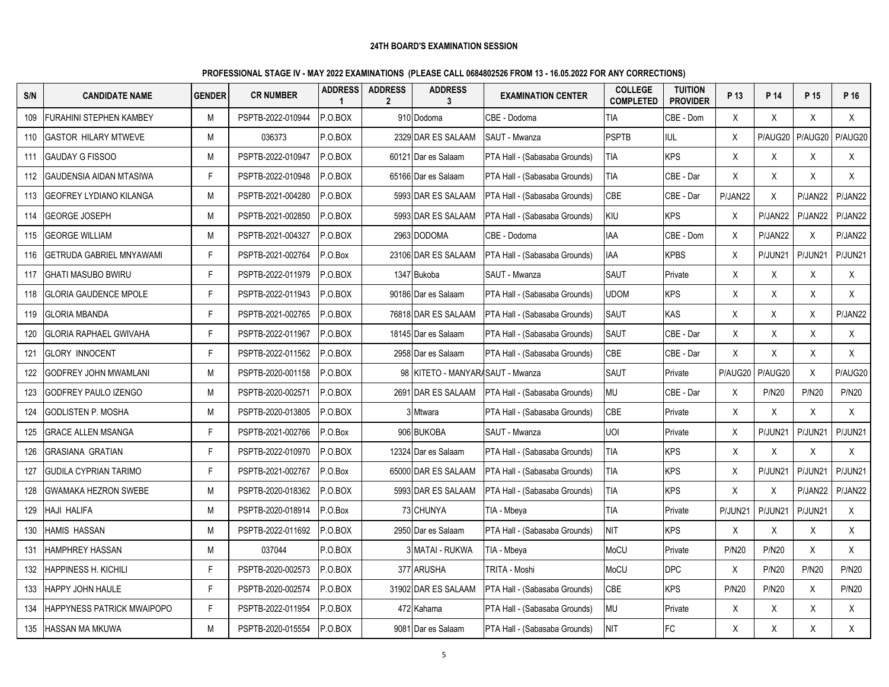| S/N | <b>CANDIDATE NAME</b>           | <b>GENDER</b> | <b>CR NUMBER</b>  | <b>ADDRESS</b><br>$\mathbf{1}$ | <b>ADDRESS</b><br>$\mathbf{2}$ | <b>ADDRESS</b><br>3            | <b>EXAMINATION CENTER</b>            | <b>COLLEGE</b><br><b>COMPLETED</b> | <b>TUITION</b><br><b>PROVIDER</b> | P 13         | P 14         | P 15         | P 16         |
|-----|---------------------------------|---------------|-------------------|--------------------------------|--------------------------------|--------------------------------|--------------------------------------|------------------------------------|-----------------------------------|--------------|--------------|--------------|--------------|
| 109 | <b>FURAHINI STEPHEN KAMBEY</b>  | М             | PSPTB-2022-010944 | P.O.BOX                        |                                | 910 Dodoma                     | CBE - Dodoma                         | <b>TIA</b>                         | CBE - Dom                         | X            | X            | X            | X            |
| 110 | <b>GASTOR HILARY MTWEVE</b>     | М             | 036373            | P.O.BOX                        |                                | 2329 DAR ES SALAAM             | SAUT - Mwanza                        | <b>PSPTB</b>                       | <b>IUL</b>                        | X            | P/AUG20      | P/AUG20      | P/AUG20      |
| 111 | <b>GAUDAY G FISSOO</b>          | М             | PSPTB-2022-010947 | P.O.BOX                        |                                | 60121 Dar es Salaam            | PTA Hall - (Sabasaba Grounds)        | TIA                                | <b>KPS</b>                        | X            | X            | Χ            | X            |
| 112 | <b>GAUDENSIA AIDAN MTASIWA</b>  | F.            | PSPTB-2022-010948 | P.O.BOX                        |                                | 65166 Dar es Salaam            | PTA Hall - (Sabasaba Grounds)        | <b>TIA</b>                         | CBE - Dar                         | X            | X            | X            | X            |
| 113 | <b>GEOFREY LYDIANO KILANGA</b>  | М             | PSPTB-2021-004280 | P.O.BOX                        |                                | 5993 DAR ES SALAAM             | PTA Hall - (Sabasaba Grounds)        | CBE                                | CBE - Dar                         | P/JAN22      | X            | P/JAN22      | P/JAN22      |
| 114 | <b>GEORGE JOSEPH</b>            | М             | PSPTB-2021-002850 | P.O.BOX                        |                                | 5993 DAR ES SALAAM             | PTA Hall - (Sabasaba Grounds)        | KIU                                | <b>KPS</b>                        | X            | P/JAN22      | P/JAN22      | P/JAN22      |
| 115 | <b>GEORGE WILLIAM</b>           | М             | PSPTB-2021-004327 | P.O.BOX                        |                                | 2963 DODOMA                    | CBE - Dodoma                         | <b>IAA</b>                         | CBE - Dom                         | X            | P/JAN22      | X            | P/JAN22      |
| 116 | <b>GETRUDA GABRIEL MNYAWAMI</b> | F.            | PSPTB-2021-002764 | P.O.Box                        |                                | 23106 DAR ES SALAAM            | PTA Hall - (Sabasaba Grounds)        | IAA                                | <b>KPBS</b>                       | X.           | P/JUN21      | P/JUN21      | P/JUN21      |
| 117 | <b>GHATI MASUBO BWIRU</b>       | F.            | PSPTB-2022-011979 | P.O.BOX                        |                                | 1347 Bukoba                    | SAUT - Mwanza                        | <b>SAUT</b>                        | Private                           | X            | Χ            | X            | X            |
| 118 | <b>GLORIA GAUDENCE MPOLE</b>    | F.            | PSPTB-2022-011943 | P.O.BOX                        |                                | 90186 Dar es Salaam            | PTA Hall - (Sabasaba Grounds)        | <b>UDOM</b>                        | <b>KPS</b>                        | X            | X            | X            | X            |
| 119 | <b>GLORIA MBANDA</b>            | F.            | PSPTB-2021-002765 | P.O.BOX                        |                                | 76818 DAR ES SALAAM            | PTA Hall - (Sabasaba Grounds)        | SAUT                               | <b>KAS</b>                        | X            | X            | X            | P/JAN22      |
| 120 | <b>GLORIA RAPHAEL GWIVAHA</b>   | F.            | PSPTB-2022-011967 | P.O.BOX                        |                                | 18145 Dar es Salaam            | PTA Hall - (Sabasaba Grounds)        | <b>SAUT</b>                        | CBE - Dar                         | X            | X            | X            | X            |
| 121 | <b>GLORY INNOCENT</b>           | F.            | PSPTB-2022-011562 | P.O.BOX                        |                                | 2958 Dar es Salaam             | PTA Hall - (Sabasaba Grounds)        | <b>CBE</b>                         | CBE - Dar                         | X            | X            | X            | X            |
| 122 | GODFREY JOHN MWAMLANI           | М             | PSPTB-2020-001158 | P.O.BOX                        | 98                             | KITETO - MANYARA SAUT - Mwanza |                                      | SAUT                               | Private                           | P/AUG20      | P/AUG20      | X            | P/AUG20      |
| 123 | GODFREY PAULO IZENGO            | М             | PSPTB-2020-002571 | P.O.BOX                        |                                | 2691 DAR ES SALAAM             | PTA Hall - (Sabasaba Grounds)        | <b>MU</b>                          | CBE - Dar                         | X            | <b>P/N20</b> | <b>P/N20</b> | <b>P/N20</b> |
| 124 | GODLISTEN P. MOSHA              | М             | PSPTB-2020-013805 | P.O.BOX                        |                                | <b>Mtwara</b>                  | PTA Hall - (Sabasaba Grounds)        | CBE                                | Private                           | X            | X            | X            | X            |
| 125 | <b>GRACE ALLEN MSANGA</b>       | F.            | PSPTB-2021-002766 | P.O.Box                        |                                | 906 BUKOBA                     | SAUT - Mwanza                        | <b>UOI</b>                         | Private                           | X            | P/JUN21      | P/JUN21      | P/JUN21      |
| 126 | <b>GRASIANA GRATIAN</b>         | F             | PSPTB-2022-010970 | P.O.BOX                        |                                | 12324 Dar es Salaam            | PTA Hall - (Sabasaba Grounds)        | <b>TIA</b>                         | <b>KPS</b>                        | X            | $\sf X$      | X            | X            |
| 127 | <b>GUDILA CYPRIAN TARIMO</b>    | F.            | PSPTB-2021-002767 | P.O.Box                        |                                | 65000 DAR ES SALAAM            | <b>PTA Hall - (Sabasaba Grounds)</b> | <b>TIA</b>                         | <b>KPS</b>                        | X            | P/JUN21      | P/JUN21      | P/JUN21      |
| 128 | <b>GWAMAKA HEZRON SWEBE</b>     | М             | PSPTB-2020-018362 | P.O.BOX                        |                                | 5993 DAR ES SALAAM             | PTA Hall - (Sabasaba Grounds)        | TIA                                | <b>KPS</b>                        | X            | X            | P/JAN22      | P/JAN22      |
| 129 | HAJI HALIFA                     | М             | PSPTB-2020-018914 | P.O.Box                        |                                | 73 CHUNYA                      | TIA - Mbeya                          | <b>TIA</b>                         | Private                           | P/JUN21      | P/JUN2       | P/JUN21      | X            |
| 130 | HAMIS HASSAN                    | М             | PSPTB-2022-011692 | P.O.BOX                        |                                | 2950 Dar es Salaam             | PTA Hall - (Sabasaba Grounds)        | <b>NIT</b>                         | <b>KPS</b>                        | X            | X            | Χ            | X            |
| 131 | <b>HAMPHREY HASSAN</b>          | М             | 037044            | P.O.BOX                        |                                | 3 MATAI - RUKWA                | TIA - Mbeya                          | MoCU                               | Private                           | <b>P/N20</b> | <b>P/N20</b> | X            | X            |
| 132 | HAPPINESS H. KICHILI            | F.            | PSPTB-2020-002573 | P.O.BOX                        |                                | 377 ARUSHA                     | TRITA - Moshi                        | MoCU                               | <b>DPC</b>                        | X            | <b>P/N20</b> | <b>P/N20</b> | <b>P/N20</b> |
| 133 | <b>HAPPY JOHN HAULE</b>         | F.            | PSPTB-2020-002574 | P.O.BOX                        |                                | 31902 DAR ES SALAAM            | PTA Hall - (Sabasaba Grounds)        | <b>CBE</b>                         | <b>KPS</b>                        | <b>P/N20</b> | <b>P/N20</b> | X            | <b>P/N20</b> |
| 134 | HAPPYNESS PATRICK MWAIPOPO      | F.            | PSPTB-2022-011954 | P.O.BOX                        |                                | 472 Kahama                     | PTA Hall - (Sabasaba Grounds)        | MU                                 | Private                           | X            | X            | X            | X            |
| 135 | <b>HASSAN MA MKUWA</b>          | M             | PSPTB-2020-015554 | P.O.BOX                        |                                | 9081 Dar es Salaam             | PTA Hall - (Sabasaba Grounds)        | <b>NIT</b>                         | FC                                | X            | X            | X            | X            |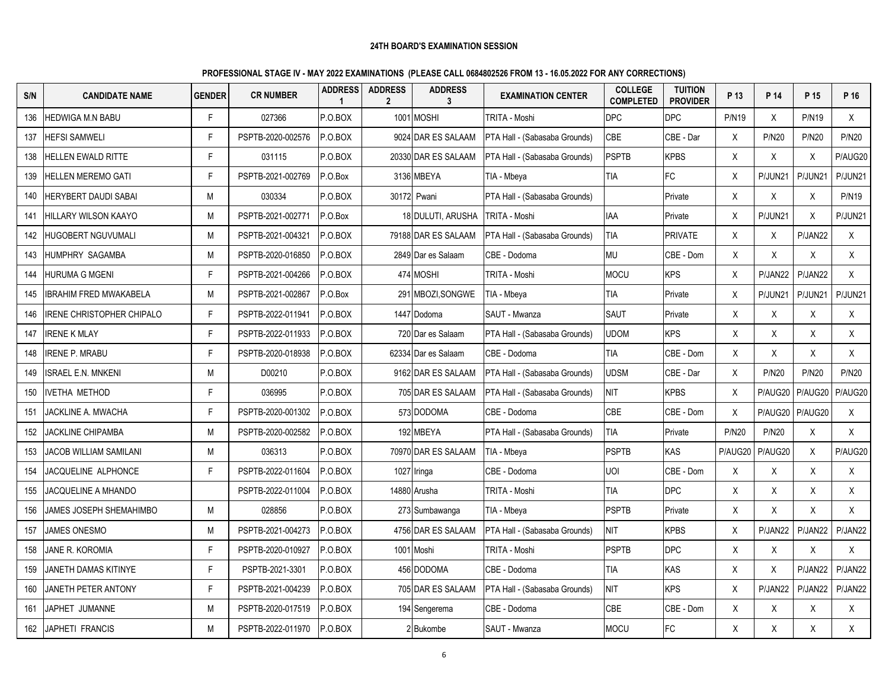| S/N | <b>CANDIDATE NAME</b>          | <b>GENDER</b> | <b>CR NUMBER</b>  | <b>ADDRESS</b><br>1 | <b>ADDRESS</b><br>$\mathbf{2}$ | <b>ADDRESS</b><br>3 | <b>EXAMINATION CENTER</b>     | <b>COLLEGE</b><br><b>COMPLETED</b> | <b>TUITION</b><br><b>PROVIDER</b> | P 13         | P 14         | P 15         | P 16         |
|-----|--------------------------------|---------------|-------------------|---------------------|--------------------------------|---------------------|-------------------------------|------------------------------------|-----------------------------------|--------------|--------------|--------------|--------------|
| 136 | <b>HEDWIGA M.N BABU</b>        | F             | 027366            | P.O.BOX             |                                | 1001 MOSHI          | TRITA - Moshi                 | <b>DPC</b>                         | <b>DPC</b>                        | <b>P/N19</b> | X            | <b>P/N19</b> | $\mathsf{X}$ |
| 137 | <b>HEFSI SAMWELI</b>           | F             | PSPTB-2020-002576 | P.O.BOX             |                                | 9024 DAR ES SALAAM  | PTA Hall - (Sabasaba Grounds) | CBE                                | CBE - Dar                         | X            | <b>P/N20</b> | <b>P/N20</b> | <b>P/N20</b> |
| 138 | <b>HELLEN EWALD RITTE</b>      | F             | 031115            | P.O.BOX             |                                | 20330 DAR ES SALAAM | PTA Hall - (Sabasaba Grounds) | <b>PSPTB</b>                       | <b>KPBS</b>                       | X            | X            | $\times$     | P/AUG20      |
| 139 | <b>HELLEN MEREMO GATI</b>      | F             | PSPTB-2021-002769 | P.O.Box             |                                | 3136 MBEYA          | TIA - Mbeya                   | <b>TIA</b>                         | FC                                | X            | P/JUN21      | P/JUN21      | P/JUN21      |
| 140 | HERYBERT DAUDI SABAI           | М             | 030334            | P.O.BOX             |                                | 30172 Pwani         | PTA Hall - (Sabasaba Grounds) |                                    | Private                           | X            | Χ            | X            | <b>P/N19</b> |
| 141 | <b>HILLARY WILSON KAAYO</b>    | M             | PSPTB-2021-002771 | P.O.Box             |                                | 18 DULUTI, ARUSHA   | TRITA - Moshi                 | <b>IAA</b>                         | Private                           | X            | P/JUN21      | X            | P/JUN21      |
| 142 | HUGOBERT NGUVUMALI             | М             | PSPTB-2021-004321 | P.O.BOX             |                                | 79188 DAR ES SALAAM | PTA Hall - (Sabasaba Grounds) | TIA                                | <b>PRIVATE</b>                    | X            | X            | P/JAN22      | $\mathsf{X}$ |
| 143 | <b>HUMPHRY SAGAMBA</b>         | M             | PSPTB-2020-016850 | P.O.BOX             |                                | 2849 Dar es Salaam  | CBE - Dodoma                  | <b>MU</b>                          | CBE - Dom                         | X            | X            | X            | X            |
| 144 | <b>HURUMA G MGENI</b>          | F             | PSPTB-2021-004266 | P.O.BOX             |                                | 474 MOSHI           | TRITA - Moshi                 | <b>MOCU</b>                        | <b>KPS</b>                        | X            | P/JAN22      | P/JAN22      | X            |
| 145 | <b>IBRAHIM FRED MWAKABELA</b>  | M             | PSPTB-2021-002867 | P.O.Box             |                                | 291 MBOZI.SONGWE    | TIA - Mbeva                   | TIA                                | Private                           | X            | P/JUN21      | P/JUN21      | P/JUN21      |
| 146 | IRENE CHRISTOPHER CHIPALO      | F             | PSPTB-2022-011941 | P.O.BOX             |                                | 1447 Dodoma         | SAUT - Mwanza                 | <b>SAUT</b>                        | Private                           | X            | X            | Χ            | X            |
| 147 | <b>IRENE K MLAY</b>            | F.            | PSPTB-2022-011933 | P.O.BOX             |                                | 720 Dar es Salaam   | PTA Hall - (Sabasaba Grounds) | <b>UDOM</b>                        | <b>KPS</b>                        | X            | X            | X            | X            |
| 148 | <b>IRENE P. MRABU</b>          | F             | PSPTB-2020-018938 | P.O.BOX             |                                | 62334 Dar es Salaam | CBE - Dodoma                  | <b>TIA</b>                         | CBE - Dom                         | X            | X            | Χ            | X            |
| 149 | <b>ISRAEL E.N. MNKENI</b>      | M             | D00210            | P.O.BOX             |                                | 9162 DAR ES SALAAM  | PTA Hall - (Sabasaba Grounds) | <b>UDSM</b>                        | CBE - Dar                         | X            | <b>P/N20</b> | <b>P/N20</b> | <b>P/N20</b> |
| 150 | <b>IVETHA METHOD</b>           | F             | 036995            | P.O.BOX             |                                | 705 DAR ES SALAAM   | PTA Hall - (Sabasaba Grounds) | <b>NIT</b>                         | <b>KPBS</b>                       | Χ            | P/AUG20      | P/AUG20      | P/AUG20      |
| 151 | <b>JACKLINE A. MWACHA</b>      | Е             | PSPTB-2020-001302 | P.O.BOX             |                                | 573 DODOMA          | CBE - Dodoma                  | <b>CBE</b>                         | CBE - Dom                         | X            | P/AUG20      | P/AUG20      | X            |
| 152 | JACKLINE CHIPAMBA              | M             | PSPTB-2020-002582 | P.O.BOX             |                                | 192 MBEYA           | PTA Hall - (Sabasaba Grounds) | TIA                                | Private                           | <b>P/N20</b> | <b>P/N20</b> | X            | $\mathsf{X}$ |
| 153 | JACOB WILLIAM SAMILANI         | M             | 036313            | P.O.BOX             |                                | 70970 DAR ES SALAAM | TIA - Mbeya                   | <b>PSPTB</b>                       | KAS                               | P/AUG20      | P/AUG20      | X            | P/AUG20      |
| 154 | JACQUELINE ALPHONCE            | F             | PSPTB-2022-011604 | P.O.BOX             |                                | 1027 Iringa         | CBE - Dodoma                  | <b>UOI</b>                         | CBE - Dom                         | X            | X            | X            | X            |
| 155 | JACQUELINE A MHANDO            |               | PSPTB-2022-011004 | P.O.BOX             |                                | 14880 Arusha        | TRITA - Moshi                 | <b>TIA</b>                         | <b>DPC</b>                        | X            | $\sf X$      | X            | X            |
| 156 | <b>JAMES JOSEPH SHEMAHIMBO</b> | M             | 028856            | P.O.BOX             |                                | 273 Sumbawanga      | TIA - Mbeya                   | <b>PSPTB</b>                       | Private                           | X            | $\mathsf{X}$ | X            | X            |
| 157 | JAMES ONESMO                   | M             | PSPTB-2021-004273 | P.O.BOX             |                                | 4756 DAR ES SALAAM  | PTA Hall - (Sabasaba Grounds) | <b>NIT</b>                         | <b>KPBS</b>                       | X            | P/JAN22      | P/JAN22      | P/JAN22      |
| 158 | JANE R. KOROMIA                | F.            | PSPTB-2020-010927 | P.O.BOX             |                                | 1001 Moshi          | TRITA - Moshi                 | <b>PSPTB</b>                       | <b>DPC</b>                        | X            | $\mathsf{X}$ | X            | X            |
| 159 | JANETH DAMAS KITINYE           | F             | PSPTB-2021-3301   | P.O.BOX             |                                | 456 DODOMA          | CBE - Dodoma                  | <b>TIA</b>                         | KAS                               | X            | X            | P/JAN22      | P/JAN22      |
| 160 | JANETH PETER ANTONY            | F             | PSPTB-2021-004239 | P.O.BOX             |                                | 705 DAR ES SALAAM   | PTA Hall - (Sabasaba Grounds) | <b>NIT</b>                         | <b>KPS</b>                        | X            | P/JAN22      | P/JAN22      | P/JAN22      |
| 161 | JAPHET JUMANNE                 | M             | PSPTB-2020-017519 | P.O.BOX             |                                | 194 Sengerema       | CBE - Dodoma                  | <b>CBE</b>                         | CBE - Dom                         | X            | X            | X            | X            |
| 162 | JAPHETI FRANCIS                | M             | PSPTB-2022-011970 | P.O.BOX             |                                | 2 Bukombe           | SAUT - Mwanza                 | <b>MOCU</b>                        | FC                                | X            | X            | Χ            | X            |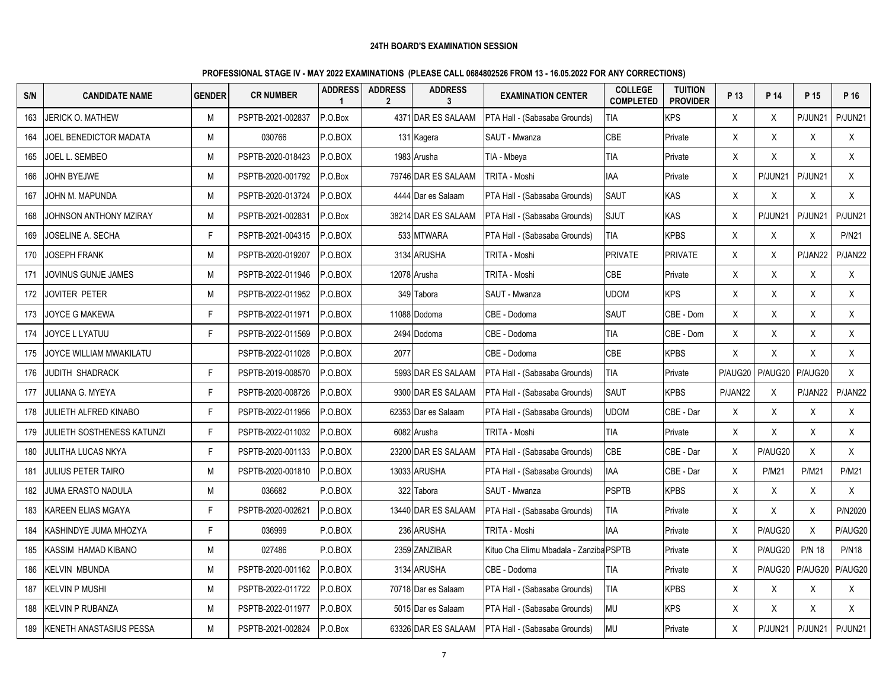| S/N | <b>CANDIDATE NAME</b>             | <b>GENDER</b> | <b>CR NUMBER</b>  | <b>ADDRESS</b><br>$\mathbf 1$ | <b>ADDRESS</b><br>$\mathbf{2}$ | <b>ADDRESS</b><br>3 | <b>EXAMINATION CENTER</b>               | <b>COLLEGE</b><br><b>COMPLETED</b> | <b>TUITION</b><br><b>PROVIDER</b> | P 13    | P 14         | P 15          | P 16            |
|-----|-----------------------------------|---------------|-------------------|-------------------------------|--------------------------------|---------------------|-----------------------------------------|------------------------------------|-----------------------------------|---------|--------------|---------------|-----------------|
| 163 | JERICK O. MATHEW                  | M             | PSPTB-2021-002837 | P.O.Box                       |                                | 4371 DAR ES SALAAM  | PTA Hall - (Sabasaba Grounds)           | <b>TIA</b>                         | <b>KPS</b>                        | X       | X            | P/JUN21       | P/JUN21         |
| 164 | JOEL BENEDICTOR MADATA            | М             | 030766            | P.O.BOX                       |                                | 131 Kagera          | SAUT - Mwanza                           | <b>CBE</b>                         | Private                           | X       | $\sf X$      | X             | X               |
| 165 | Joel L. Sembeo                    | М             | PSPTB-2020-018423 | P.O.BOX                       |                                | 1983 Arusha         | TIA - Mbeya                             | TIA                                | Private                           | X       | Χ            | X             | X               |
| 166 | JOHN BYEJWE                       | М             | PSPTB-2020-001792 | P.O.Box                       |                                | 79746 DAR ES SALAAM | TRITA - Moshi                           | IAA                                | Private                           | X       | P/JUN21      | P/JUN21       | $\mathsf{X}$    |
| 167 | JOHN M. MAPUNDA                   | М             | PSPTB-2020-013724 | P.O.BOX                       |                                | 4444 Dar es Salaam  | PTA Hall - (Sabasaba Grounds)           | SAUT                               | <b>KAS</b>                        | X       | X            | X             | X               |
| 168 | JOHNSON ANTHONY MZIRAY            | М             | PSPTB-2021-002831 | P.O.Box                       |                                | 38214 DAR ES SALAAM | PTA Hall - (Sabasaba Grounds)           | <b>SJUT</b>                        | <b>KAS</b>                        | X       | P/JUN21      | P/JUN21       | P/JUN21         |
| 169 | JOSELINE A. SECHA                 | F.            | PSPTB-2021-004315 | P.O.BOX                       |                                | 533 MTWARA          | PTA Hall - (Sabasaba Grounds)           | TIA                                | <b>KPBS</b>                       | X       | $\mathsf X$  | $\mathsf X$   | P/N21           |
| 170 | <b>JOSEPH FRANK</b>               | M             | PSPTB-2020-019207 | P.O.BOX                       |                                | 3134 ARUSHA         | TRITA - Moshi                           | <b>PRIVATE</b>                     | <b>PRIVATE</b>                    | X       | X            | P/JAN22       | P/JAN22         |
| 171 | JOVINUS GUNJE JAMES               | М             | PSPTB-2022-011946 | P.O.BOX                       |                                | 12078 Arusha        | TRITA - Moshi                           | CBE                                | Private                           | X       | X            | X             | X               |
| 172 | JOVITER PETER                     | М             | PSPTB-2022-011952 | P.O.BOX                       |                                | 349 Tabora          | SAUT - Mwanza                           | <b>UDOM</b>                        | <b>KPS</b>                        | X       | X            | X             | $\sf X$         |
| 173 | JOYCE G MAKEWA                    | F             | PSPTB-2022-011971 | P.O.BOX                       |                                | 11088 Dodoma        | CBE - Dodoma                            | SAUT                               | CBE - Dom                         | X       | X            | X             | X               |
| 174 | JOYCE L LYATUU                    | F.            | PSPTB-2022-011569 | P.O.BOX                       |                                | 2494 Dodoma         | CBE - Dodoma                            | <b>TIA</b>                         | CBE - Dom                         | X       | X            | X             | X               |
| 175 | JOYCE WILLIAM MWAKILATU           |               | PSPTB-2022-011028 | P.O.BOX                       | 2077                           |                     | CBE - Dodoma                            | <b>CBE</b>                         | <b>KPBS</b>                       | X       | $\mathsf X$  | X             | X               |
| 176 | <b>JUDITH SHADRACK</b>            | F             | PSPTB-2019-008570 | P.O.BOX                       |                                | 5993 DAR ES SALAAM  | PTA Hall - (Sabasaba Grounds)           | <b>TIA</b>                         | Private                           | P/AUG20 | P/AUG20      | P/AUG20       | X               |
| 177 | JULIANA G. MYEYA                  | F.            | PSPTB-2020-008726 | P.O.BOX                       |                                | 9300 DAR ES SALAAM  | PTA Hall - (Sabasaba Grounds)           | <b>SAUT</b>                        | <b>KPBS</b>                       | P/JAN22 | X            | P/JAN22       | P/JAN22         |
| 178 | JULIETH ALFRED KINABO             | F.            | PSPTB-2022-011956 | P.O.BOX                       |                                | 62353 Dar es Salaam | PTA Hall - (Sabasaba Grounds)           | <b>UDOM</b>                        | CBE - Dar                         | X       | X            | Χ             | X               |
| 179 | <b>JULIETH SOSTHENESS KATUNZI</b> | F.            | PSPTB-2022-011032 | P.O.BOX                       |                                | 6082 Arusha         | TRITA - Moshi                           | TIA                                | Private                           | X       | $\mathsf X$  | X             | X               |
| 180 | <b>JULITHA LUCAS NKYA</b>         | F.            | PSPTB-2020-001133 | P.O.BOX                       |                                | 23200 DAR ES SALAAM | PTA Hall - (Sabasaba Grounds)           | CBE                                | CBE - Dar                         | X       | P/AUG20      | X             | X               |
| 181 | <b>JULIUS PETER TAIRO</b>         | М             | PSPTB-2020-001810 | P.O.BOX                       |                                | 13033 ARUSHA        | PTA Hall - (Sabasaba Grounds)           | IAA                                | CBE - Dar                         | X       | <b>P/M21</b> | <b>P/M21</b>  | <b>P/M21</b>    |
| 182 | <b>JUMA ERASTO NADULA</b>         | М             | 036682            | P.O.BOX                       |                                | 322 Tabora          | SAUT - Mwanza                           | <b>PSPTB</b>                       | <b>KPBS</b>                       | X       | X            | X             | X               |
| 183 | <b>KAREEN ELIAS MGAYA</b>         | Е             | PSPTB-2020-002621 | P.O.BOX                       |                                | 13440 DAR ES SALAAM | PTA Hall - (Sabasaba Grounds)           | TIA                                | Private                           | Χ       | X            | X             | P/N2020         |
| 184 | KASHINDYE JUMA MHOZYA             | F             | 036999            | P.O.BOX                       |                                | 236 ARUSHA          | TRITA - Moshi                           | <b>IAA</b>                         | Private                           | X       | P/AUG20      | X             | P/AUG20         |
| 185 | KASSIM HAMAD KIBANO               | M             | 027486            | P.O.BOX                       |                                | 2359 ZANZIBAR       | Kituo Cha Elimu Mbadala - Zanziba PSPTB |                                    | Private                           | X       | P/AUG20      | <b>P/N 18</b> | <b>P/N18</b>    |
| 186 | <b>KELVIN MBUNDA</b>              | М             | PSPTB-2020-001162 | P.O.BOX                       |                                | 3134 ARUSHA         | CBE - Dodoma                            | TIA                                | Private                           | X       | P/AUG20      | P/AUG20       | P/AUG20         |
| 187 | IKELVIN P MUSHI                   | М             | PSPTB-2022-011722 | P.O.BOX                       |                                | 70718 Dar es Salaam | PTA Hall - (Sabasaba Grounds)           | TIA                                | <b>KPBS</b>                       | X       | $\sf X$      | Χ             | X               |
| 188 | <b>KELVIN P RUBANZA</b>           | M             | PSPTB-2022-011977 | P.O.BOX                       |                                | 5015 Dar es Salaam  | PTA Hall - (Sabasaba Grounds)           | MU                                 | <b>KPS</b>                        | X       | X            | X             | X               |
| 189 | KENETH ANASTASIUS PESSA           | M             | PSPTB-2021-002824 | P.O.Box                       |                                | 63326 DAR ES SALAAM | PTA Hall - (Sabasaba Grounds)           | <b>MU</b>                          | Private                           | X       | P/JUN21      |               | P/JUN21 P/JUN21 |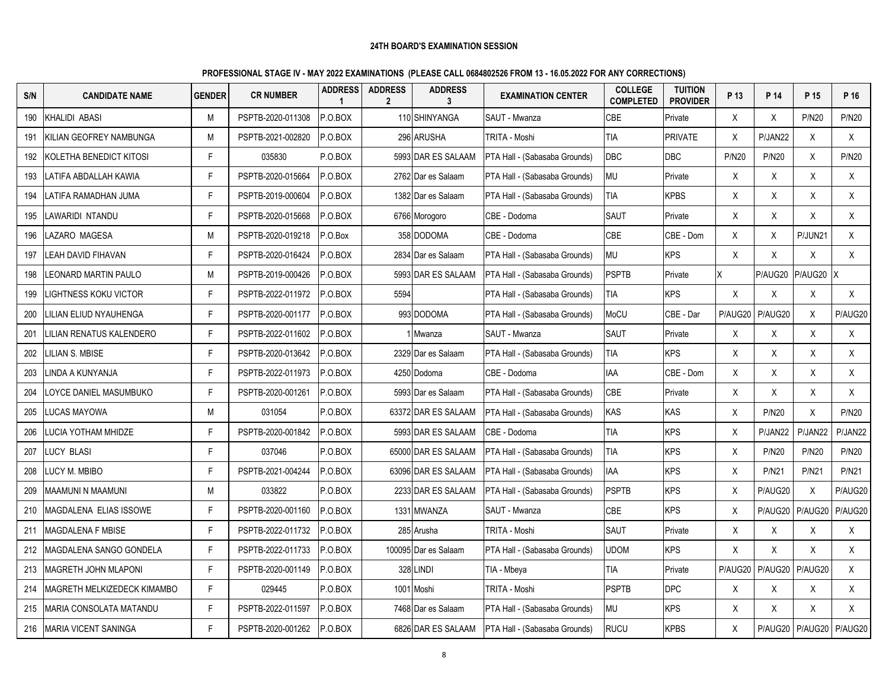| S/N | <b>CANDIDATE NAME</b>        | <b>GENDER</b> | <b>CR NUMBER</b>  | <b>ADDRESS</b><br>$\mathbf{1}$ | <b>ADDRESS</b><br>$\mathbf{2}$ | <b>ADDRESS</b><br>3  | <b>EXAMINATION CENTER</b>     | <b>COLLEGE</b><br><b>COMPLETED</b> | <b>TUITION</b><br><b>PROVIDER</b> | P 13         | P 14         | P 15                    | P 16         |
|-----|------------------------------|---------------|-------------------|--------------------------------|--------------------------------|----------------------|-------------------------------|------------------------------------|-----------------------------------|--------------|--------------|-------------------------|--------------|
| 190 | KHALIDI ABASI                | M             | PSPTB-2020-011308 | P.O.BOX                        |                                | 110 SHINYANGA        | SAUT - Mwanza                 | CBE                                | Private                           | X            | X            | <b>P/N20</b>            | <b>P/N20</b> |
| 191 | IKILIAN GEOFREY NAMBUNGA     | М             | PSPTB-2021-002820 | P.O.BOX                        |                                | 296 ARUSHA           | TRITA - Moshi                 | <b>TIA</b>                         | <b>PRIVATE</b>                    | X            | P/JAN22      | X                       | X            |
| 192 | KOLETHA BENEDICT KITOSI      | F.            | 035830            | P.O.BOX                        |                                | 5993 DAR ES SALAAM   | PTA Hall - (Sabasaba Grounds) | <b>DBC</b>                         | DBC                               | <b>P/N20</b> | <b>P/N20</b> | Χ                       | <b>P/N20</b> |
| 193 | LATIFA ABDALLAH KAWIA        | F.            | PSPTB-2020-015664 | P.O.BOX                        |                                | 2762 Dar es Salaam   | PTA Hall - (Sabasaba Grounds) | <b>MU</b>                          | Private                           | X            | X            | X                       | X            |
| 194 | LATIFA RAMADHAN JUMA         | F.            | PSPTB-2019-000604 | P.O.BOX                        |                                | 1382 Dar es Salaam   | PTA Hall - (Sabasaba Grounds) | <b>TIA</b>                         | <b>KPBS</b>                       | X            | X            | X                       | X            |
| 195 | LAWARIDI NTANDU              | F.            | PSPTB-2020-015668 | P.O.BOX                        |                                | 6766 Morogoro        | CBE - Dodoma                  | <b>SAUT</b>                        | Private                           | X            | X            | X                       | X            |
| 196 | LAZARO MAGESA                | M             | PSPTB-2020-019218 | P.O.Box                        |                                | 358 DODOMA           | CBE - Dodoma                  | CBE                                | CBE - Dom                         | X            | X            | P/JUN21                 | X            |
| 197 | LEAH DAVID FIHAVAN           | F.            | PSPTB-2020-016424 | P.O.BOX                        |                                | 2834 Dar es Salaam   | PTA Hall - (Sabasaba Grounds) | <b>MU</b>                          | <b>KPS</b>                        | X            | X            | X                       | $\mathsf{X}$ |
| 198 | LEONARD MARTIN PAULO         | М             | PSPTB-2019-000426 | P.O.BOX                        |                                | 5993 DAR ES SALAAM   | PTA Hall - (Sabasaba Grounds) | <b>PSPTB</b>                       | Private                           | X            | P/AUG20      | P/AUG20                 | ΙX           |
| 199 | <b>LIGHTNESS KOKU VICTOR</b> | F             | PSPTB-2022-011972 | P.O.BOX                        | 5594                           |                      | PTA Hall - (Sabasaba Grounds) | <b>TIA</b>                         | <b>KPS</b>                        | $\mathsf{X}$ | X            | X                       | X            |
| 200 | LILIAN ELIUD NYAUHENGA       | F.            | PSPTB-2020-001177 | P.O.BOX                        |                                | 993 DODOMA           | PTA Hall - (Sabasaba Grounds) | MoCU                               | CBE - Dar                         | P/AUG20      | P/AUG20      | X                       | P/AUG20      |
| 201 | LILIAN RENATUS KALENDERO     | F.            | PSPTB-2022-011602 | P.O.BOX                        |                                | 1 Mwanza             | SAUT - Mwanza                 | <b>SAUT</b>                        | Private                           | X            | X            | X                       | X            |
| 202 | LILIAN S. MBISE              | F.            | PSPTB-2020-013642 | P.O.BOX                        |                                | 2329 Dar es Salaam   | PTA Hall - (Sabasaba Grounds) | TIA                                | <b>KPS</b>                        | X            | X            | Χ                       | X            |
| 203 | LINDA A KUNYANJA             | F             | PSPTB-2022-011973 | P.O.BOX                        |                                | 4250 Dodoma          | CBE - Dodoma                  | <b>IAA</b>                         | CBE - Dom                         | X            | X            | X                       | X            |
| 204 | LOYCE DANIEL MASUMBUKO       | F.            | PSPTB-2020-001261 | P.O.BOX                        |                                | 5993 Dar es Salaam   | PTA Hall - (Sabasaba Grounds) | <b>CBE</b>                         | Private                           | X            | X            | X                       | X            |
| 205 | <b>LUCAS MAYOWA</b>          | М             | 031054            | P.O.BOX                        |                                | 63372 DAR ES SALAAM  | PTA Hall - (Sabasaba Grounds) | <b>KAS</b>                         | KAS                               | Χ            | <b>P/N20</b> | X                       | <b>P/N20</b> |
| 206 | LUCIA YOTHAM MHIDZE          | F.            | PSPTB-2020-001842 | P.O.BOX                        |                                | 5993 DAR ES SALAAM   | CBE - Dodoma                  | <b>TIA</b>                         | <b>KPS</b>                        | X            | P/JAN22      | P/JAN22                 | P/JAN22      |
| 207 | <b>LUCY BLASI</b>            | F.            | 037046            | P.O.BOX                        |                                | 65000 DAR ES SALAAM  | PTA Hall - (Sabasaba Grounds) | <b>TIA</b>                         | <b>KPS</b>                        | X            | <b>P/N20</b> | <b>P/N20</b>            | <b>P/N20</b> |
| 208 | LUCY M. MBIBO                | F             | PSPTB-2021-004244 | P.O.BOX                        |                                | 63096 DAR ES SALAAM  | PTA Hall - (Sabasaba Grounds) | <b>IAA</b>                         | <b>KPS</b>                        | X            | <b>P/N21</b> | <b>P/N21</b>            | <b>P/N21</b> |
| 209 | MAAMUNI N MAAMUNI            | M             | 033822            | P.O.BOX                        |                                | 2233 DAR ES SALAAM   | PTA Hall - (Sabasaba Grounds) | <b>PSPTB</b>                       | <b>KPS</b>                        | Χ            | P/AUG20      | $\sf X$                 | P/AUG20      |
| 210 | MAGDALENA ELIAS ISSOWE       | F.            | PSPTB-2020-001160 | P.O.BOX                        |                                | 1331 MWANZA          | SAUT - Mwanza                 | <b>CBE</b>                         | <b>KPS</b>                        | X            | P/AUG20      | P/AUG20                 | P/AUG20      |
| 211 | MAGDALENA F MBISE            | F.            | PSPTB-2022-011732 | P.O.BOX                        |                                | 285 Arusha           | TRITA - Moshi                 | <b>SAUT</b>                        | Private                           | X            | X            | Χ                       | $\mathsf{X}$ |
| 212 | MAGDALENA SANGO GONDELA      | F.            | PSPTB-2022-011733 | P.O.BOX                        |                                | 100095 Dar es Salaam | PTA Hall - (Sabasaba Grounds) | <b>UDOM</b>                        | <b>KPS</b>                        | X            | X            | X                       | $\mathsf{X}$ |
| 213 | <b>MAGRETH JOHN MLAPONI</b>  | F.            | PSPTB-2020-001149 | P.O.BOX                        | 328                            | <b>LINDI</b>         | TIA - Mbeya                   | <b>TIA</b>                         | Private                           | P/AUG20      | P/AUG20      | P/AUG20                 | X            |
| 214 | MAGRETH MELKIZEDECK KIMAMBO  | F.            | 029445            | P.O.BOX                        |                                | 1001 Moshi           | TRITA - Moshi                 | <b>PSPTB</b>                       | <b>DPC</b>                        | Χ            | X            | Χ                       | $\mathsf{X}$ |
| 215 | MARIA CONSOLATA MATANDU      | F             | PSPTB-2022-011597 | P.O.BOX                        |                                | 7468 Dar es Salaam   | PTA Hall - (Sabasaba Grounds) | <b>MU</b>                          | <b>KPS</b>                        | X            | $\mathsf X$  | X                       | $\sf X$      |
| 216 | <b>MARIA VICENT SANINGA</b>  | F.            | PSPTB-2020-001262 | P.O.BOX                        |                                | 6826 DAR ES SALAAM   | PTA Hall - (Sabasaba Grounds) | <b>RUCU</b>                        | <b>KPBS</b>                       | X            |              | P/AUG20 P/AUG20 P/AUG20 |              |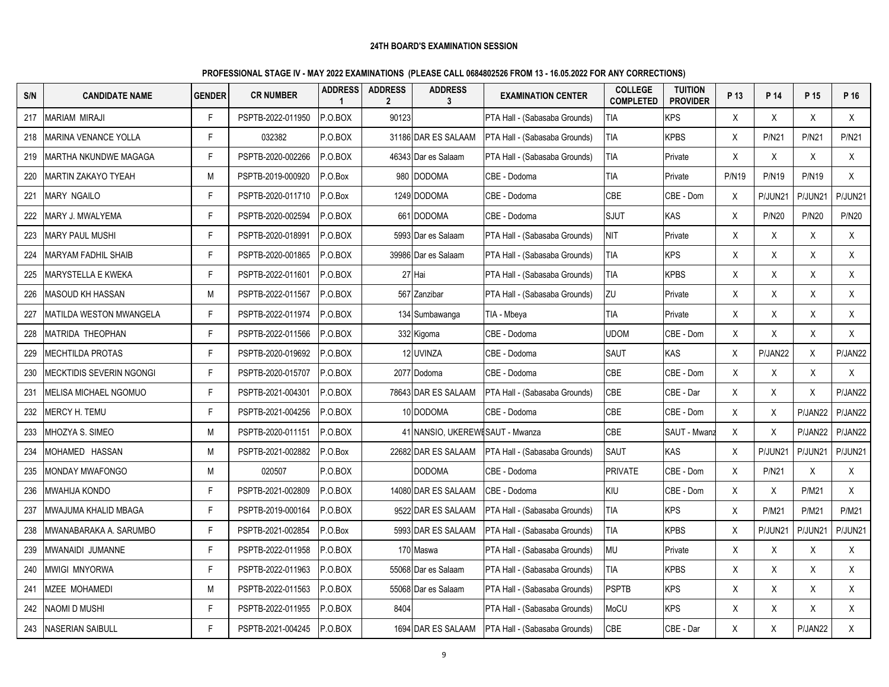| S/N | <b>CANDIDATE NAME</b>        | <b>GENDER</b> | <b>CR NUMBER</b>  | <b>ADDRESS</b><br>1 | <b>ADDRESS</b><br>$\mathbf{2}$ | <b>ADDRESS</b><br>3               | <b>EXAMINATION CENTER</b>     | <b>COLLEGE</b><br><b>COMPLETED</b> | <b>TUITION</b><br><b>PROVIDER</b> | P 13         | P 14         | P 15         | P 16         |
|-----|------------------------------|---------------|-------------------|---------------------|--------------------------------|-----------------------------------|-------------------------------|------------------------------------|-----------------------------------|--------------|--------------|--------------|--------------|
| 217 | <b>MARIAM MIRAJI</b>         | F             | PSPTB-2022-011950 | P.O.BOX             | 90123                          |                                   | PTA Hall - (Sabasaba Grounds) | <b>TIA</b>                         | <b>KPS</b>                        | X            | X            | X            | X            |
| 218 | <b>MARINA VENANCE YOLLA</b>  | F.            | 032382            | P.O.BOX             |                                | 31186 DAR ES SALAAM               | PTA Hall - (Sabasaba Grounds) | TIA                                | <b>KPBS</b>                       | X.           | <b>P/N21</b> | <b>P/N21</b> | <b>P/N21</b> |
| 219 | MARTHA NKUNDWE MAGAGA        | F             | PSPTB-2020-002266 | P.O.BOX             |                                | 46343 Dar es Salaam               | PTA Hall - (Sabasaba Grounds) | TIA                                | Private                           | X            | Χ            | X            | X            |
| 220 | <b>MARTIN ZAKAYO TYEAH</b>   | M             | PSPTB-2019-000920 | P.O.Box             |                                | 980 DODOMA                        | CBE - Dodoma                  | <b>TIA</b>                         | Private                           | <b>P/N19</b> | <b>P/N19</b> | <b>P/N19</b> | X            |
| 221 | <b>MARY NGAILO</b>           | F             | PSPTB-2020-011710 | P.O.Box             |                                | 1249 DODOMA                       | CBE - Dodoma                  | CBE                                | CBE - Dom                         | X            | P/JUN21      | P/JUN21      | P/JUN21      |
| 222 | MARY J. MWALYEMA             | F             | PSPTB-2020-002594 | P.O.BOX             |                                | 661 DODOMA                        | CBE - Dodoma                  | <b>SJUT</b>                        | KAS                               | X            | <b>P/N20</b> | <b>P/N20</b> | <b>P/N20</b> |
| 223 | <b>MARY PAUL MUSHI</b>       | F             | PSPTB-2020-018991 | P.O.BOX             |                                | 5993 Dar es Salaam                | PTA Hall - (Sabasaba Grounds) | NIT                                | Private                           | X            | $\sf X$      | X            | X            |
| 224 | MARYAM FADHIL SHAIB          | F             | PSPTB-2020-001865 | P.O.BOX             |                                | 39986 Dar es Salaam               | PTA Hall - (Sabasaba Grounds) | TIA                                | <b>KPS</b>                        | X            | X            | X            | X            |
| 225 | MARYSTELLA E KWEKA           | F.            | PSPTB-2022-011601 | P.O.BOX             |                                | 27 Hai                            | PTA Hall - (Sabasaba Grounds) | <b>TIA</b>                         | <b>KPBS</b>                       | X            | X            | X            | X            |
| 226 | <b>MASOUD KH HASSAN</b>      | М             | PSPTB-2022-011567 | P.O.BOX             |                                | 567 Zanzibar                      | PTA Hall - (Sabasaba Grounds) | ZU                                 | Private                           | X            | X            | X            | X            |
| 227 | MATILDA WESTON MWANGELA      | F             | PSPTB-2022-011974 | P.O.BOX             |                                | 134 Sumbawanga                    | TIA - Mbeya                   | <b>TIA</b>                         | Private                           | X            | $\mathsf X$  | X            | X            |
| 228 | <b>MATRIDA THEOPHAN</b>      | F.            | PSPTB-2022-011566 | P.O.BOX             |                                | 332 Kigoma                        | CBE - Dodoma                  | <b>UDOM</b>                        | CBE - Dom                         | X            | X            | X            | X            |
| 229 | <b>MECHTILDA PROTAS</b>      | F.            | PSPTB-2020-019692 | P.O.BOX             |                                | 12 UVINZA                         | CBE - Dodoma                  | SAUT                               | KAS                               | X            | P/JAN22      | X            | P/JAN22      |
| 230 | MECKTIDIS SEVERIN NGONGI     | F             | PSPTB-2020-015707 | P.O.BOX             |                                | 2077 Dodoma                       | CBE - Dodoma                  | CBE                                | CBE - Dom                         | X            | Χ            | X            | X            |
| 231 | <b>MELISA MICHAEL NGOMUO</b> | F             | PSPTB-2021-004301 | P.O.BOX             |                                | 78643 DAR ES SALAAM               | PTA Hall - (Sabasaba Grounds) | CBE                                | CBE - Dar                         | X            | X            | X            | P/JAN22      |
| 232 | MERCY H. TEMU                | F             | PSPTB-2021-004256 | P.O.BOX             |                                | 10 DODOMA                         | CBE - Dodoma                  | CBE                                | CBE - Dom                         | X            | X            | P/JAN22      | P/JAN22      |
| 233 | MHOZYA S. SIMEO              | M             | PSPTB-2020-011151 | P.O.BOX             |                                | 41 INANSIO, UKEREWI SAUT - Mwanza |                               | <b>CBE</b>                         | SAUT - Mwanz                      | X            | $\mathsf{X}$ | P/JAN22      | P/JAN22      |
| 234 | MOHAMED HASSAN               | M             | PSPTB-2021-002882 | P.O.Box             |                                | 22682 DAR ES SALAAM               | PTA Hall - (Sabasaba Grounds) | <b>SAUT</b>                        | <b>KAS</b>                        | X            | P/JUN2       | P/JUN21      | P/JUN21      |
| 235 | MONDAY MWAFONGO              | М             | 020507            | P.O.BOX             |                                | <b>DODOMA</b>                     | CBE - Dodoma                  | <b>PRIVATE</b>                     | CBE - Dom                         | X            | <b>P/N21</b> | Χ            | X            |
| 236 | MWAHIJA KONDO                | F             | PSPTB-2021-002809 | P.O.BOX             |                                | 14080 DAR ES SALAAM               | CBE - Dodoma                  | KIU                                | CBE - Dom                         | X            | Χ            | <b>P/M21</b> | X            |
| 237 | MWAJUMA KHALID MBAGA         | F             | PSPTB-2019-000164 | P.O.BOX             |                                | 9522 DAR ES SALAAM                | PTA Hall - (Sabasaba Grounds) | TIA                                | <b>KPS</b>                        | X            | <b>P/M21</b> | <b>P/M21</b> | P/M21        |
| 238 | MWANABARAKA A. SARUMBO       | F             | PSPTB-2021-002854 | P.O.Box             |                                | 5993 DAR ES SALAAM                | PTA Hall - (Sabasaba Grounds) | TIA                                | <b>KPBS</b>                       | Χ            | P/JUN21      | P/JUN21      | P/JUN21      |
| 239 | MWANAIDI JUMANNE             | F.            | PSPTB-2022-011958 | P.O.BOX             |                                | 170 Maswa                         | PTA Hall - (Sabasaba Grounds) | <b>MU</b>                          | Private                           | X            | $\sf X$      | X            | X            |
| 240 | MWIGI MNYORWA                | F             | PSPTB-2022-011963 | P.O.BOX             |                                | 55068 Dar es Salaam               | PTA Hall - (Sabasaba Grounds) | TIA                                | <b>KPBS</b>                       | X            | Χ            | X            | X            |
| 241 | <b>MZEE MOHAMEDI</b>         | М             | PSPTB-2022-011563 | P.O.BOX             |                                | 55068 Dar es Salaam               | PTA Hall - (Sabasaba Grounds) | <b>PSPTB</b>                       | <b>KPS</b>                        | X            | X            | X            | X            |
| 242 | <b>NAOMI D MUSHI</b>         | F.            | PSPTB-2022-011955 | P.O.BOX             | 8404                           |                                   | PTA Hall - (Sabasaba Grounds) | MoCU                               | <b>KPS</b>                        | X            | X            | X            | X            |
| 243 | <b>NASERIAN SAIBULL</b>      | Е             | PSPTB-2021-004245 | P.O.BOX             |                                | 1694 DAR ES SALAAM                | PTA Hall - (Sabasaba Grounds) | CBE                                | CBE - Dar                         | X            | X            | P/JAN22      | X            |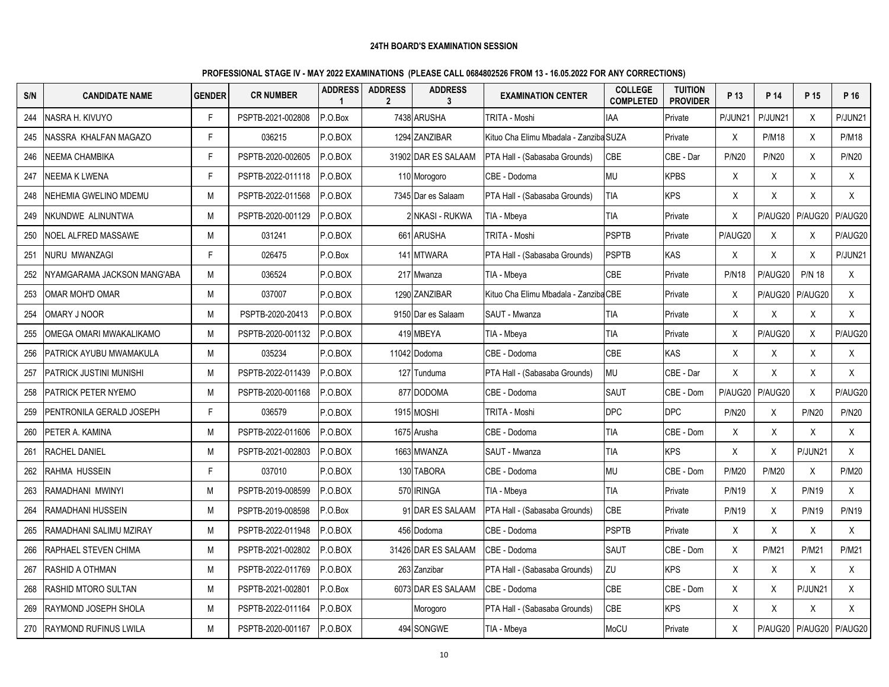| S/N | <b>CANDIDATE NAME</b>        | <b>GENDER</b> | <b>CR NUMBER</b>  | <b>ADDRESS</b><br>$\mathbf{1}$ | <b>ADDRESS</b><br>$\mathbf{2}$ | <b>ADDRESS</b><br>3 | <b>EXAMINATION CENTER</b>              | <b>COLLEGE</b><br><b>COMPLETED</b> | <b>TUITION</b><br><b>PROVIDER</b> | P 13         | P 14         | P 15          | P 16              |
|-----|------------------------------|---------------|-------------------|--------------------------------|--------------------------------|---------------------|----------------------------------------|------------------------------------|-----------------------------------|--------------|--------------|---------------|-------------------|
| 244 | NASRA H. KIVUYO              | F             | PSPTB-2021-002808 | P.O.Box                        |                                | 7438 ARUSHA         | TRITA - Moshi                          | <b>IAA</b>                         | Private                           | P/JUN21      | P/JUN21      | X             | P/JUN21           |
| 245 | INASSRA KHALFAN MAGAZO       | F.            | 036215            | P.O.BOX                        |                                | 1294 ZANZIBAR       | Kituo Cha Elimu Mbadala - Zanziba SUZA |                                    | Private                           | X            | <b>P/M18</b> | X             | <b>P/M18</b>      |
| 246 | <b>NEEMA CHAMBIKA</b>        | F             | PSPTB-2020-002605 | P.O.BOX                        |                                | 31902 DAR ES SALAAM | PTA Hall - (Sabasaba Grounds)          | CBE                                | CBE - Dar                         | P/N20        | <b>P/N20</b> | Χ             | <b>P/N20</b>      |
| 247 | <b>NEEMA K LWENA</b>         | F.            | PSPTB-2022-011118 | P.O.BOX                        |                                | 110 Morogoro        | CBE - Dodoma                           | <b>MU</b>                          | <b>KPBS</b>                       | X            | X            | X             | X                 |
| 248 | NEHEMIA GWELINO MDEMU        | М             | PSPTB-2022-011568 | P.O.BOX                        |                                | 7345 Dar es Salaam  | PTA Hall - (Sabasaba Grounds)          | TIA                                | <b>KPS</b>                        | X            | X            | X             | X                 |
| 249 | NKUNDWE ALINUNTWA            | M             | PSPTB-2020-001129 | P.O.BOX                        |                                | 2 NKASI - RUKWA     | TIA - Mbeya                            | TIA                                | Private                           | X            | P/AUG20      | P/AUG20       | P/AUG20           |
| 250 | <b>NOEL ALFRED MASSAWE</b>   | M             | 031241            | P.O.BOX                        |                                | 661 ARUSHA          | TRITA - Moshi                          | <b>PSPTB</b>                       | Private                           | P/AUG20      | X            | X             | P/AUG20           |
| 251 | NURU MWANZAGI                | F             | 026475            | P.O.Box                        |                                | 141 MTWARA          | PTA Hall - (Sabasaba Grounds)          | <b>PSPTB</b>                       | KAS                               | X            | X            | $\times$      | P/JUN21           |
| 252 | NYAMGARAMA JACKSON MANG'ABA  | M             | 036524            | P.O.BOX                        |                                | 217 Mwanza          | TIA - Mbeya                            | <b>CBE</b>                         | Private                           | <b>P/N18</b> | P/AUG20      | <b>P/N 18</b> | X                 |
| 253 | OMAR MOH'D OMAR              | М             | 037007            | P.O.BOX                        |                                | 1290 ZANZIBAR       | Kituo Cha Elimu Mbadala - Zanziba CBE  |                                    | Private                           | X            | P/AUG20      | P/AUG20       | $\mathsf{X}$      |
| 254 | OMARY J NOOR                 | M             | PSPTB-2020-20413  | P.O.BOX                        |                                | 9150 Dar es Salaam  | SAUT - Mwanza                          | tia                                | Private                           | X            | Χ            | Χ             | X                 |
| 255 | OMEGA OMARI MWAKALIKAMO      | M             | PSPTB-2020-001132 | P.O.BOX                        |                                | 419 MBEYA           | TIA - Mbeya                            | <b>TIA</b>                         | Private                           | X.           | P/AUG20      | X             | P/AUG20           |
| 256 | PATRICK AYUBU MWAMAKULA      | М             | 035234            | P.O.BOX                        |                                | 11042 Dodoma        | CBE - Dodoma                           | CBE                                | <b>KAS</b>                        | X            | X            | X             | X                 |
| 257 | PATRICK JUSTINI MUNISHI      | M             | PSPTB-2022-011439 | P.O.BOX                        |                                | 127 Tunduma         | PTA Hall - (Sabasaba Grounds)          | <b>MU</b>                          | CBE - Dar                         | X            | X            | X             | X                 |
| 258 | <b>PATRICK PETER NYEMO</b>   | M             | PSPTB-2020-001168 | P.O.BOX                        |                                | 877 DODOMA          | CBE - Dodoma                           | <b>SAUT</b>                        | CBE - Dom                         | P/AUG20      | P/AUG20      | $\sf X$       | P/AUG20           |
| 259 | PENTRONILA GERALD JOSEPH     | F             | 036579            | P.O.BOX                        |                                | 1915 MOSHI          | TRITA - Moshi                          | DPC                                | <b>DPC</b>                        | <b>P/N20</b> | X            | <b>P/N20</b>  | <b>P/N20</b>      |
| 260 | PETER A. KAMINA              | M             | PSPTB-2022-011606 | P.O.BOX                        |                                | 1675 Arusha         | CBE - Dodoma                           | <b>TIA</b>                         | CBE - Dom                         | X            | X            | X             | $\sf X$           |
| 261 | <b>RACHEL DANIEL</b>         | M             | PSPTB-2021-002803 | P.O.BOX                        |                                | 1663 MWANZA         | SAUT - Mwanza                          | <b>TIA</b>                         | <b>KPS</b>                        | X            | X            | P/JUN21       | X                 |
| 262 | RAHMA HUSSEIN                | Е             | 037010            | P.O.BOX                        |                                | 130 TABORA          | CBE - Dodoma                           | MU                                 | CBE - Dom                         | <b>P/M20</b> | <b>P/M20</b> | X             | <b>P/M20</b>      |
| 263 | RAMADHANI MWINYI             | М             | PSPTB-2019-008599 | P.O.BOX                        |                                | 570 IRINGA          | TIA - Mbeya                            | TIA                                | Private                           | <b>P/N19</b> | X            | <b>P/N19</b>  | X                 |
| 264 | RAMADHANI HUSSEIN            | М             | PSPTB-2019-008598 | P.O.Box                        |                                | 91 DAR ES SALAAM    | PTA Hall - (Sabasaba Grounds)          | CBE                                | Private                           | <b>P/N19</b> | X            | <b>P/N19</b>  | <b>P/N19</b>      |
| 265 | RAMADHANI SALIMU MZIRAY      | M             | PSPTB-2022-011948 | P.O.BOX                        |                                | 456 Dodoma          | CBE - Dodoma                           | PSPTB                              | Private                           | X            | Χ            | X             | X                 |
| 266 | RAPHAEL STEVEN CHIMA         | M             | PSPTB-2021-002802 | P.O.BOX                        |                                | 31426 DAR ES SALAAM | CBE - Dodoma                           | <b>SAUT</b>                        | CBE - Dom                         | X            | <b>P/M21</b> | <b>P/M21</b>  | <b>P/M21</b>      |
| 267 | RASHID A OTHMAN              | М             | PSPTB-2022-011769 | P.O.BOX                        |                                | 263 Zanzibar        | PTA Hall - (Sabasaba Grounds)          | ZU                                 | <b>KPS</b>                        | X            | X            | X             | X                 |
| 268 | <b>RASHID MTORO SULTAN</b>   | M             | PSPTB-2021-002801 | P.O.Box                        |                                | 6073 DAR ES SALAAM  | CBE - Dodoma                           | CBE                                | CBE - Dom                         | X            | X            | P/JUN21       | X                 |
| 269 | RAYMOND JOSEPH SHOLA         | M             | PSPTB-2022-011164 | P.O.BOX                        |                                | Morogoro            | PTA Hall - (Sabasaba Grounds)          | CBE                                | <b>KPS</b>                        | X            | $\mathsf{X}$ | X             | X                 |
| 270 | <b>RAYMOND RUFINUS LWILA</b> | M             | PSPTB-2020-001167 | P.O.BOX                        |                                | 494 SONGWE          | TIA - Mbeya                            | MoCU                               | Private                           | X            | P/AUG20      |               | P/AUG20   P/AUG20 |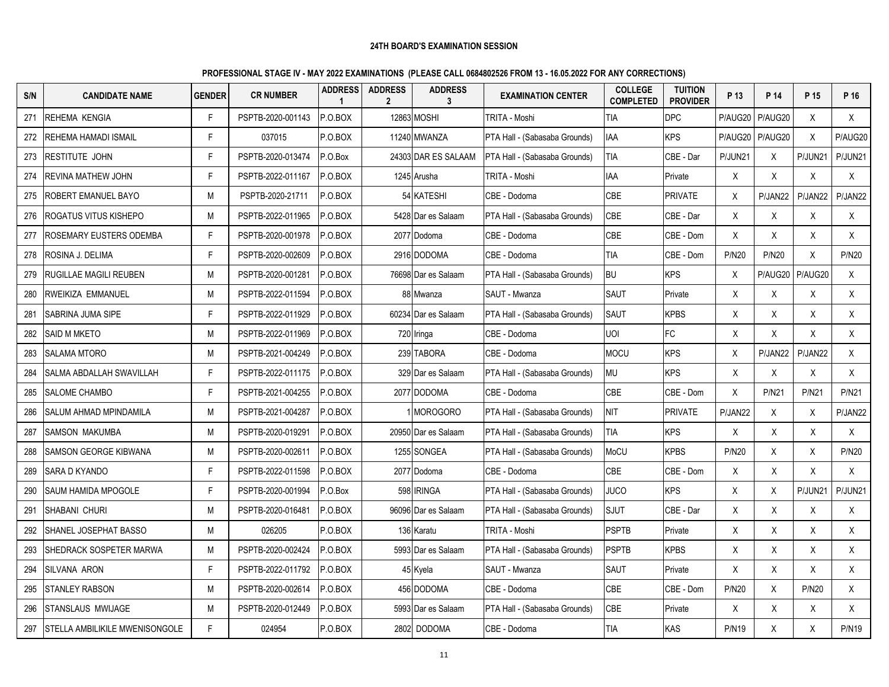| S/N | <b>CANDIDATE NAME</b>          | <b>GENDER</b> | <b>CR NUMBER</b>  | <b>ADDRESS</b><br>$\mathbf{1}$ | <b>ADDRESS</b><br>$\mathbf{2}$ | <b>ADDRESS</b><br>3 | <b>EXAMINATION CENTER</b>     | <b>COLLEGE</b><br><b>COMPLETED</b> | <b>TUITION</b><br><b>PROVIDER</b> | P 13         | P 14         | P 15         | P 16         |
|-----|--------------------------------|---------------|-------------------|--------------------------------|--------------------------------|---------------------|-------------------------------|------------------------------------|-----------------------------------|--------------|--------------|--------------|--------------|
| 271 | REHEMA KENGIA                  | F             | PSPTB-2020-001143 | P.O.BOX                        |                                | 12863 MOSHI         | TRITA - Moshi                 | <b>TIA</b>                         | <b>DPC</b>                        | P/AUG20      | P/AUG20      | X            | X            |
| 272 | REHEMA HAMADI ISMAIL           | F.            | 037015            | P.O.BOX                        |                                | 11240 MWANZA        | PTA Hall - (Sabasaba Grounds) | IAA                                | <b>KPS</b>                        | P/AUG20      | P/AUG20      | X            | P/AUG20      |
| 273 | RESTITUTE JOHN                 | F.            | PSPTB-2020-013474 | P.O.Box                        |                                | 24303 DAR ES SALAAM | PTA Hall - (Sabasaba Grounds) | TIA                                | CBE - Dar                         | P/JUN21      | Χ            | P/JUN21      | P/JUN21      |
| 274 | REVINA MATHEW JOHN             | F.            | PSPTB-2022-011167 | P.O.BOX                        |                                | 1245 Arusha         | TRITA - Moshi                 | <b>IAA</b>                         | Private                           | X            | X            | X            | X            |
| 275 | ROBERT EMANUEL BAYO            | М             | PSPTB-2020-21711  | P.O.BOX                        |                                | 54 KATESHI          | CBE - Dodoma                  | CBE                                | <b>PRIVATE</b>                    | X            | P/JAN22      | P/JAN22      | P/JAN22      |
| 276 | ROGATUS VITUS KISHEPO          | М             | PSPTB-2022-011965 | P.O.BOX                        |                                | 5428 Dar es Salaam  | PTA Hall - (Sabasaba Grounds) | CBE                                | CBE - Dar                         | X            | Χ            | X            | X            |
| 277 | ROSEMARY EUSTERS ODEMBA        | F.            | PSPTB-2020-001978 | P.O.BOX                        |                                | 2077 Dodoma         | CBE - Dodoma                  | CBE                                | CBE - Dom                         | X            | X            | X            | X            |
| 278 | ROSINA J. DELIMA               | F.            | PSPTB-2020-002609 | P.O.BOX                        |                                | 2916 DODOMA         | CBE - Dodoma                  | TIA                                | CBE - Dom                         | <b>P/N20</b> | <b>P/N20</b> | X            | <b>P/N20</b> |
| 279 | RUGILLAE MAGILI REUBEN         | М             | PSPTB-2020-001281 | P.O.BOX                        |                                | 76698 Dar es Salaam | PTA Hall - (Sabasaba Grounds) | <b>BU</b>                          | <b>KPS</b>                        | X            | P/AUG20      | P/AUG20      | X            |
| 280 | RWEIKIZA EMMANUEL              | M             | PSPTB-2022-011594 | P.O.BOX                        | 88                             | Mwanza              | SAUT - Mwanza                 | <b>SAUT</b>                        | Private                           | X            | X            | X            | X            |
| 281 | SABRINA JUMA SIPE              | F.            | PSPTB-2022-011929 | P.O.BOX                        |                                | 60234 Dar es Salaam | PTA Hall - (Sabasaba Grounds) | SAUT                               | <b>KPBS</b>                       | X            | X            | X            | X            |
| 282 | SAID M MKETO                   | М             | PSPTB-2022-011969 | P.O.BOX                        |                                | 720 Iringa          | CBE - Dodoma                  | <b>UOI</b>                         | FC                                | X            | X            | X            | X            |
| 283 | <b>SALAMA MTORO</b>            | М             | PSPTB-2021-004249 | P.O.BOX                        |                                | 239 TABORA          | CBE - Dodoma                  | <b>MOCU</b>                        | <b>KPS</b>                        | X            | P/JAN22      | P/JAN22      | X            |
| 284 | SALMA ABDALLAH SWAVILLAH       | F.            | PSPTB-2022-011175 | P.O.BOX                        |                                | 329 Dar es Salaam   | PTA Hall - (Sabasaba Grounds) | MU                                 | <b>KPS</b>                        | X            | X            | X            | X            |
| 285 | <b>SALOME CHAMBO</b>           | F.            | PSPTB-2021-004255 | P.O.BOX                        |                                | 2077 DODOMA         | CBE - Dodoma                  | CBE                                | CBE - Dom                         | X            | <b>P/N21</b> | <b>P/N21</b> | <b>P/N21</b> |
| 286 | SALUM AHMAD MPINDAMILA         | М             | PSPTB-2021-004287 | P.O.BOX                        |                                | <b>MOROGORO</b>     | PTA Hall - (Sabasaba Grounds) | <b>NIT</b>                         | <b>PRIVATE</b>                    | P/JAN22      | Χ            | X            | P/JAN22      |
| 287 | <b>SAMSON MAKUMBA</b>          | M             | PSPTB-2020-019291 | P.O.BOX                        |                                | 20950 Dar es Salaam | PTA Hall - (Sabasaba Grounds) | <b>TIA</b>                         | <b>KPS</b>                        | X            | X            | $\sf X$      | X            |
| 288 | SAMSON GEORGE KIBWANA          | М             | PSPTB-2020-002611 | P.O.BOX                        |                                | 1255 SONGEA         | PTA Hall - (Sabasaba Grounds) | MoCU                               | <b>KPBS</b>                       | <b>P/N20</b> | X            | Χ            | P/N20        |
| 289 | SARA D KYANDO                  | F.            | PSPTB-2022-011598 | P.O.BOX                        |                                | 2077 Dodoma         | CBE - Dodoma                  | CBE                                | CBE - Dom                         | X            | $\mathsf{X}$ | X            | X            |
| 290 | SAUM HAMIDA MPOGOLE            | F.            | PSPTB-2020-001994 | P.O.Box                        |                                | 598 IRINGA          | PTA Hall - (Sabasaba Grounds) | <b>JUCO</b>                        | <b>KPS</b>                        | X            | X            | P/JUN21      | P/JUN21      |
| 291 | SHABANI CHURI                  | М             | PSPTB-2020-016481 | P.O.BOX                        |                                | 96096 Dar es Salaam | PTA Hall - (Sabasaba Grounds) | <b>SJUT</b>                        | CBE - Dar                         | X            | Χ            | X            | X            |
| 292 | SHANEL JOSEPHAT BASSO          | М             | 026205            | P.O.BOX                        |                                | 136 Karatu          | TRITA - Moshi                 | <b>PSPTB</b>                       | Private                           | X            | X            | Χ            | X            |
| 293 | SHEDRACK SOSPETER MARWA        | М             | PSPTB-2020-002424 | P.O.BOX                        |                                | 5993 Dar es Salaam  | PTA Hall - (Sabasaba Grounds) | <b>PSPTB</b>                       | <b>KPBS</b>                       | X            | X            | X            | X            |
| 294 | SILVANA ARON                   | F.            | PSPTB-2022-011792 | P.O.BOX                        |                                | 45 Kyela            | SAUT - Mwanza                 | SAUT                               | Private                           | X            | Χ            | X            | X            |
| 295 | <b>STANLEY RABSON</b>          | M             | PSPTB-2020-002614 | P.O.BOX                        |                                | 456 DODOMA          | CBE - Dodoma                  | <b>CBE</b>                         | CBE - Dom                         | <b>P/N20</b> | X            | <b>P/N20</b> | X            |
| 296 | STANSLAUS MWIJAGE              | М             | PSPTB-2020-012449 | P.O.BOX                        |                                | 5993 Dar es Salaam  | PTA Hall - (Sabasaba Grounds) | CBE                                | Private                           | X            | X            | X            | X            |
| 297 | STELLA AMBILIKILE MWENISONGOLE |               | 024954            | P.O.BOX                        |                                | 2802 DODOMA         | CBE - Dodoma                  | <b>TIA</b>                         | KAS                               | <b>P/N19</b> | X            | Χ            | <b>P/N19</b> |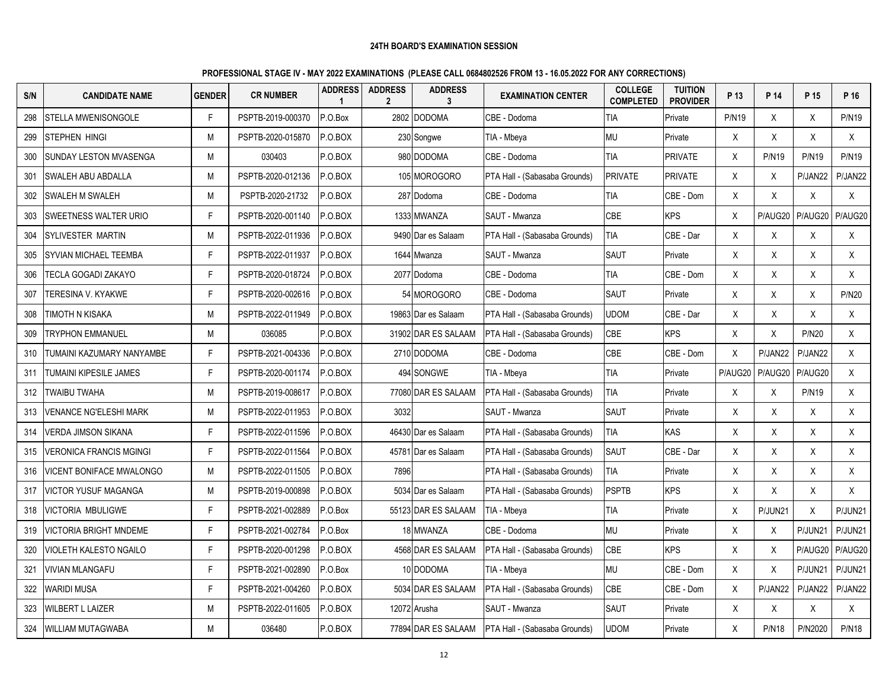| S/N | <b>CANDIDATE NAME</b>           | <b>GENDER</b> | <b>CR NUMBER</b>  | <b>ADDRESS</b><br>$\mathbf{1}$ | <b>ADDRESS</b><br>$\mathbf{2}$ | <b>ADDRESS</b><br>3 | <b>EXAMINATION CENTER</b>     | <b>COLLEGE</b><br><b>COMPLETED</b> | <b>TUITION</b><br><b>PROVIDER</b> | P 13         | P 14         | P 15         | P 16         |
|-----|---------------------------------|---------------|-------------------|--------------------------------|--------------------------------|---------------------|-------------------------------|------------------------------------|-----------------------------------|--------------|--------------|--------------|--------------|
| 298 | <b>STELLA MWENISONGOLE</b>      | F.            | PSPTB-2019-000370 | P.O.Box                        | 2802                           | <b>DODOMA</b>       | CBE - Dodoma                  | <b>TIA</b>                         | Private                           | <b>P/N19</b> | X            | Χ            | <b>P/N19</b> |
| 299 | <b>STEPHEN HINGI</b>            | М             | PSPTB-2020-015870 | P.O.BOX                        |                                | 230 Songwe          | TIA - Mbeya                   | MU                                 | Private                           | X            | X            | X            | X            |
| 300 | SUNDAY LESTON MVASENGA          | М             | 030403            | P.O.BOX                        |                                | 980 DODOMA          | CBE - Dodoma                  | <b>TIA</b>                         | <b>PRIVATE</b>                    | Χ            | P/N19        | <b>P/N19</b> | <b>P/N19</b> |
| 301 | <b>SWALEH ABU ABDALLA</b>       | М             | PSPTB-2020-012136 | P.O.BOX                        |                                | 105 MOROGORO        | PTA Hall - (Sabasaba Grounds) | <b>PRIVATE</b>                     | <b>PRIVATE</b>                    | X            | X            | P/JAN22      | P/JAN22      |
| 302 | SWALEH M SWALEH                 | М             | PSPTB-2020-21732  | P.O.BOX                        |                                | 287 Dodoma          | CBE - Dodoma                  | <b>TIA</b>                         | CBE - Dom                         | X            | X            | $\mathsf{X}$ | X            |
| 303 | <b>SWEETNESS WALTER URIO</b>    | F.            | PSPTB-2020-001140 | P.O.BOX                        |                                | 1333 MWANZA         | SAUT - Mwanza                 | CBE                                | <b>KPS</b>                        | X            | P/AUG20      | P/AUG20      | P/AUG20      |
| 304 | SYLIVESTER MARTIN               | М             | PSPTB-2022-011936 | P.O.BOX                        |                                | 9490 Dar es Salaam  | PTA Hall - (Sabasaba Grounds) | <b>TIA</b>                         | CBE - Dar                         | X            | $\sf X$      | X            | X            |
| 305 | SYVIAN MICHAEL TEEMBA           | F.            | PSPTB-2022-011937 | P.O.BOX                        |                                | 1644 Mwanza         | SAUT - Mwanza                 | SAUT                               | Private                           | X            | X            | X            | X            |
| 306 | TECLA GOGADI ZAKAYO             | F.            | PSPTB-2020-018724 | P.O.BOX                        |                                | 2077 Dodoma         | CBE - Dodoma                  | TIA                                | CBE - Dom                         | X            | X            | X            | X            |
| 307 | TERESINA V. KYAKWE              | F.            | PSPTB-2020-002616 | P.O.BOX                        |                                | 54 MOROGORO         | CBE - Dodoma                  | SAUT                               | Private                           | X            | X            | X            | <b>P/N20</b> |
| 308 | TIMOTH N KISAKA                 | М             | PSPTB-2022-011949 | P.O.BOX                        |                                | 19863 Dar es Salaam | PTA Hall - (Sabasaba Grounds) | udom                               | CBE - Dar                         | X            | Χ            | X            | X            |
| 309 | <b>TRYPHON EMMANUEL</b>         | М             | 036085            | P.O.BOX                        |                                | 31902 DAR ES SALAAM | PTA Hall - (Sabasaba Grounds) | CBE                                | <b>KPS</b>                        | X            | $\mathsf{X}$ | <b>P/N20</b> | X            |
| 310 | TUMAINI KAZUMARY NANYAMBE       | F.            | PSPTB-2021-004336 | P.O.BOX                        |                                | 2710 DODOMA         | CBE - Dodoma                  | CBE                                | CBE - Dom                         | X            | P/JAN22      | P/JAN22      | X            |
| 311 | TUMAINI KIPESILE JAMES          | F.            | PSPTB-2020-001174 | P.O.BOX                        |                                | 494 SONGWE          | TIA - Mbeya                   | TIA                                | Private                           | P/AUG20      | P/AUG20      | P/AUG20      | X            |
| 312 | <b>TWAIBU TWAHA</b>             | М             | PSPTB-2019-008617 | P.O.BOX                        |                                | 77080 DAR ES SALAAM | PTA Hall - (Sabasaba Grounds) | <b>TIA</b>                         | Private                           | X            | $\mathsf{X}$ | <b>P/N19</b> | X            |
| 313 | <b>VENANCE NG'ELESHI MARK</b>   | М             | PSPTB-2022-011953 | P.O.BOX                        | 3032                           |                     | SAUT - Mwanza                 | <b>SAUT</b>                        | Private                           | X            | X            | X            | X            |
| 314 | <b>VERDA JIMSON SIKANA</b>      | F.            | PSPTB-2022-011596 | P.O.BOX                        |                                | 46430 Dar es Salaam | PTA Hall - (Sabasaba Grounds) | <b>TIA</b>                         | KAS                               | X            | X            | X            | X            |
| 315 | <b>VERONICA FRANCIS MGINGI</b>  | F.            | PSPTB-2022-011564 | P.O.BOX                        |                                | 45781 Dar es Salaam | PTA Hall - (Sabasaba Grounds) | SAUT                               | CBE - Dar                         | X            | X            | X            | X            |
| 316 | <b>VICENT BONIFACE MWALONGO</b> | М             | PSPTB-2022-011505 | P.O.BOX                        | 7896                           |                     | PTA Hall - (Sabasaba Grounds) | <b>TIA</b>                         | Private                           | X            | X            | X            | X            |
| 317 | <b>VICTOR YUSUF MAGANGA</b>     | М             | PSPTB-2019-000898 | P.O.BOX                        |                                | 5034 Dar es Salaam  | PTA Hall - (Sabasaba Grounds) | <b>PSPTB</b>                       | <b>KPS</b>                        | X            | X            | X            | X            |
| 318 | <b>VICTORIA MBULIGWE</b>        | F.            | PSPTB-2021-002889 | P.O.Box                        |                                | 55123 DAR ES SALAAM | TIA - Mbeya                   | <b>TIA</b>                         | Private                           | X            | P/JUN21      | X            | P/JUN21      |
| 319 | <b>VICTORIA BRIGHT MNDEME</b>   | F.            | PSPTB-2021-002784 | P.O.Box                        |                                | 18 MWANZA           | CBE - Dodoma                  | MU                                 | Private                           | X            | X            | P/JUN21      | P/JUN21      |
| 320 | <b>VIOLETH KALESTO NGAILO</b>   | F.            | PSPTB-2020-001298 | P.O.BOX                        |                                | 4568 DAR ES SALAAM  | PTA Hall - (Sabasaba Grounds) | CBE                                | <b>KPS</b>                        | X            | X            | P/AUG20      | P/AUG20      |
| 321 | <b>VIVIAN MLANGAFU</b>          | F.            | PSPTB-2021-002890 | P.O.Box                        |                                | 10 DODOMA           | TIA - Mbeya                   | <b>MU</b>                          | CBE - Dom                         | X            | Χ            | P/JUN21      | P/JUN21      |
| 322 | <b>WARIDI MUSA</b>              | F.            | PSPTB-2021-004260 | P.O.BOX                        |                                | 5034 DAR ES SALAAM  | PTA Hall - (Sabasaba Grounds) | CBE                                | CBE - Dom                         | X            | P/JAN22      | P/JAN22      | P/JAN22      |
| 323 | <b>WILBERT L LAIZER</b>         | М             | PSPTB-2022-011605 | P.O.BOX                        |                                | 12072 Arusha        | SAUT - Mwanza                 | SAUT                               | Private                           | X            | $\sf X$      | X            | X            |
| 324 | <b>IWILLIAM MUTAGWABA</b>       | М             | 036480            | P.O.BOX                        |                                | 77894 DAR ES SALAAM | PTA Hall - (Sabasaba Grounds) | UDOM                               | Private                           | X            | <b>P/N18</b> | P/N2020      | <b>P/N18</b> |